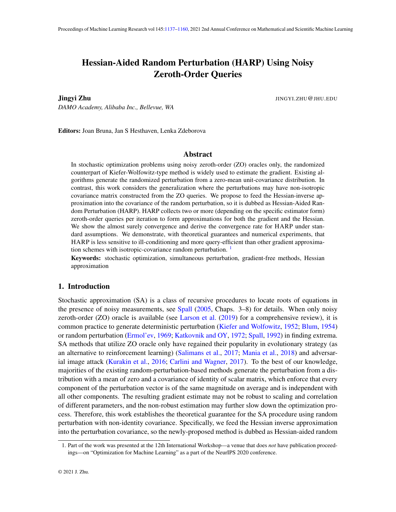# <span id="page-0-0"></span>Hessian-Aided Random Perturbation (HARP) Using Noisy Zeroth-Order Queries

Jingyi Zhu JINGYI.ZHU@JHU.EDU

*DAMO Academy, Alibaba Inc., Bellevue, WA*

Editors: Joan Bruna, Jan S Hesthaven, Lenka Zdeborova

# Abstract

In stochastic optimization problems using noisy zeroth-order (ZO) oracles only, the randomized counterpart of Kiefer-Wolfowitz-type method is widely used to estimate the gradient. Existing algorithms generate the randomized perturbation from a zero-mean unit-covariance distribution. In contrast, this work considers the generalization where the perturbations may have non-isotropic covariance matrix constructed from the ZO queries. We propose to feed the Hessian-inverse approximation into the covariance of the random perturbation, so it is dubbed as Hessian-Aided Random Perturbation (HARP). HARP collects two or more (depending on the specific estimator form) zeroth-order queries per iteration to form approximations for both the gradient and the Hessian. We show the almost surely convergence and derive the convergence rate for HARP under standard assumptions. We demonstrate, with theoretical guarantees and numerical experiments, that HARP is less sensitive to ill-conditioning and more query-efficient than other gradient approximation schemes with isotropic-covariance random perturbation.  $<sup>1</sup>$  $<sup>1</sup>$  $<sup>1</sup>$ </sup>

Keywords: stochastic optimization, simultaneous perturbation, gradient-free methods, Hessian approximation

## 1. Introduction

Stochastic approximation (SA) is a class of recursive procedures to locate roots of equations in the presence of noisy measurements, see [Spall](#page-17-0) [\(2005,](#page-17-0) Chaps. 3–8) for details. When only noisy zeroth-order (ZO) oracle is available (see [Larson et al.](#page-16-0) [\(2019\)](#page-16-0) for a comprehensive review), it is common practice to generate deterministic perturbation [\(Kiefer and Wolfowitz,](#page-16-1) [1952;](#page-16-1) [Blum,](#page-15-0) [1954\)](#page-15-0) or random perturbation [\(Ermol'ev,](#page-15-1) [1969;](#page-15-1) [Katkovnik and OY,](#page-16-2) [1972;](#page-16-2) [Spall,](#page-17-1) [1992\)](#page-17-1) in finding extrema. SA methods that utilize ZO oracle only have regained their popularity in evolutionary strategy (as an alternative to reinforcement learning) [\(Salimans et al.,](#page-17-2) [2017;](#page-17-2) [Mania et al.,](#page-16-3) [2018\)](#page-16-3) and adversarial image attack [\(Kurakin et al.,](#page-16-4) [2016;](#page-16-4) [Carlini and Wagner,](#page-15-2) [2017\)](#page-15-2). To the best of our knowledge, majorities of the existing random-perturbation-based methods generate the perturbation from a distribution with a mean of zero and a covariance of identity of scalar matrix, which enforce that every component of the perturbation vector is of the same magnitude on average and is independent with all other components. The resulting gradient estimate may not be robust to scaling and correlation of different parameters, and the non-robust estimation may further slow down the optimization process. Therefore, this work establishes the theoretical guarantee for the SA procedure using random perturbation with non-identity covariance. Specifically, we feed the Hessian inverse approximation into the perturbation covariance, so the newly-proposed method is dubbed as Hessian-aided random

<span id="page-0-1"></span><sup>1.</sup> Part of the work was presented at the 12th International Workshop—a venue that does *not* have publication proceedings—on "Optimization for Machine Learning" as a part of the NeurIPS 2020 conference.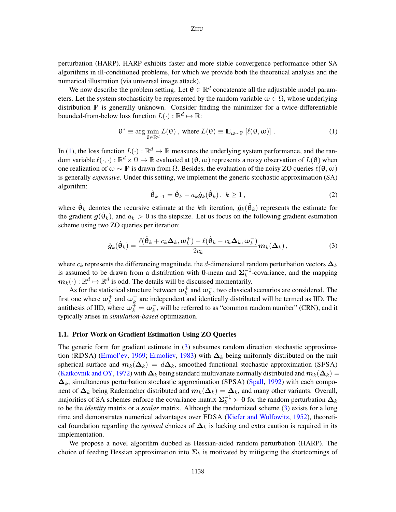perturbation (HARP). HARP exhibits faster and more stable convergence performance other SA algorithms in ill-conditioned problems, for which we provide both the theoretical analysis and the numerical illustration (via universal image attack).

We now describe the problem setting. Let  $\theta \in \mathbb{R}^d$  concatenate all the adjustable model parameters. Let the system stochasticity be represented by the random variable  $\omega \in \Omega$ , whose underlying distribution  $\mathbb P$  is generally unknown. Consider finding the minimizer for a twice-differentiable bounded-from-below loss function  $L(\cdot): \mathbb{R}^d \mapsto \mathbb{R}$ :

<span id="page-1-0"></span>
$$
\mathbf{\theta}^* \equiv \arg \min_{\mathbf{\theta} \in \mathbb{R}^d} L(\mathbf{\theta}), \text{ where } L(\mathbf{\theta}) \equiv \mathbb{E}_{\omega \sim \mathbb{P}} [\ell(\mathbf{\theta}, \omega)]. \tag{1}
$$

In [\(1\)](#page-1-0), the loss function  $L(\cdot): \mathbb{R}^d \mapsto \mathbb{R}$  measures the underlying system performance, and the random variable  $\ell(\cdot, \cdot) : \mathbb{R}^d \times \Omega \mapsto \mathbb{R}$  evaluated at  $(\theta, \omega)$  represents a noisy observation of  $L(\theta)$  when one realization of  $\omega \sim \mathbb{P}$  is drawn from  $\Omega$ . Besides, the evaluation of the noisy ZO queries  $\ell(\theta, \omega)$ is generally *expensive*. Under this setting, we implement the generic stochastic approximation (SA) algorithm:

<span id="page-1-2"></span><span id="page-1-1"></span>
$$
\hat{\boldsymbol{\Theta}}_{k+1} = \hat{\boldsymbol{\Theta}}_k - a_k \hat{\boldsymbol{g}}_k(\hat{\boldsymbol{\Theta}}_k), \ k \ge 1, \tag{2}
$$

where  $\hat{\theta}_k$  denotes the recursive estimate at the kth iteration,  $\hat{g}_k(\hat{\theta}_k)$  represents the estimate for the gradient  $g(\hat{\theta}_k)$ , and  $a_k > 0$  is the stepsize. Let us focus on the following gradient estimation scheme using two ZO queries per iteration:

$$
\hat{\boldsymbol{g}}_k(\hat{\boldsymbol{\theta}}_k) = \frac{\ell(\hat{\boldsymbol{\theta}}_k + c_k \boldsymbol{\Delta}_k, \boldsymbol{\omega}_k^+) - \ell(\hat{\boldsymbol{\theta}}_k - c_k \boldsymbol{\Delta}_k, \boldsymbol{\omega}_k^-)}{2c_k} \boldsymbol{m}_k(\boldsymbol{\Delta}_k),
$$
\n(3)

where  $c_k$  represents the differencing magnitude, the d-dimensional random perturbation vectors  $\Delta_k$ is assumed to be drawn from a distribution with 0-mean and  $\Sigma_k^{-1}$  $k^{-1}$ -covariance, and the mapping  $m_k(\cdot): \mathbb{R}^d \mapsto \mathbb{R}^d$  is odd. The details will be discussed momentarily.

As for the statistical structure between  $\omega_k^+$  and  $\omega_k^-$ , two classical scenarios are considered. The first one where  $\omega_k^+$  and  $\omega_k^-$  are independent and identically distributed will be termed as IID. The antithesis of IID, where  $\omega_k^+ = \omega_k^-$ , will be referred to as "common random number" (CRN), and it typically arises in *simulation-based* optimization.

# <span id="page-1-3"></span>1.1. Prior Work on Gradient Estimation Using ZO Queries

The generic form for gradient estimate in [\(3\)](#page-1-1) subsumes random direction stochastic approxima-tion (RDSA) [\(Ermol'ev,](#page-15-1) [1969;](#page-15-1) [Ermoliev,](#page-15-3) [1983\)](#page-15-3) with  $\Delta_k$  being uniformly distributed on the unit spherical surface and  $m_k(\Delta_k) = d\Delta_k$ , smoothed functional stochastic approximation (SFSA) [\(Katkovnik and OY,](#page-16-2) [1972\)](#page-16-2) with  $\Delta_k$  being standard multivariate normally distributed and  $m_k(\Delta_k)$  $\Delta_k$ , simultaneous perturbation stochastic approximation (SPSA) [\(Spall,](#page-17-1) [1992\)](#page-17-1) with each component of  $\Delta_k$  being Rademacher distributed and  $m_k(\Delta_k) = \Delta_k$ , and many other variants. Overall, majorities of SA schemes enforce the covariance matrix  $\Sigma_k^{-1} \succ 0$  for the random perturbation  $\Delta_k$ to be the *identity* matrix or a *scalar* matrix. Although the randomized scheme [\(3\)](#page-1-1) exists for a long time and demonstrates numerical advantages over FDSA [\(Kiefer and Wolfowitz,](#page-16-1) [1952\)](#page-16-1), theoretical foundation regarding the *optimal* choices of  $\Delta_k$  is lacking and extra caution is required in its implementation.

We propose a novel algorithm dubbed as Hessian-aided random perturbation (HARP). The choice of feeding Hessian approximation into  $\Sigma_k$  is motivated by mitigating the shortcomings of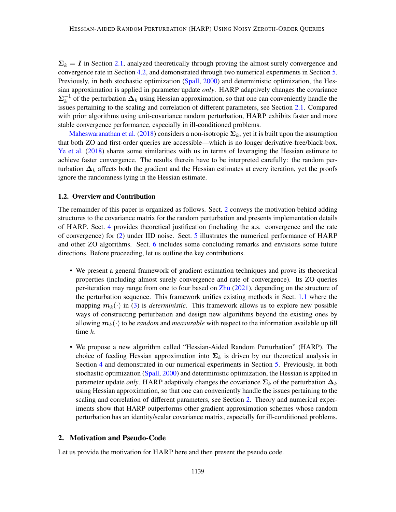$\Sigma_k = I$  in Section [2.1,](#page-3-0) analyzed theoretically through proving the almost surely convergence and convergence rate in Section [4.2,](#page-11-0) and demonstrated through two numerical experiments in Section [5.](#page-12-0) Previously, in both stochastic optimization [\(Spall,](#page-17-3) [2000\)](#page-17-3) and deterministic optimization, the Hessian approximation is applied in parameter update *only*. HARP adaptively changes the covariance  $\mathbf{\Sigma}_k^{-1}$  $k<sup>-1</sup>$  of the perturbation  $\Delta_k$  using Hessian approximation, so that one can conveniently handle the issues pertaining to the scaling and correlation of different parameters, see Section [2.1.](#page-3-0) Compared with prior algorithms using unit-covariance random perturbation, HARP exhibits faster and more stable convergence performance, especially in ill-conditioned problems.

[Maheswaranathan et al.](#page-16-5) [\(2018\)](#page-16-5) considers a non-isotropic  $\Sigma_k$ , yet it is built upon the assumption that both ZO and first-order queries are accessible—which is no longer derivative-free/black-box. [Ye et al.](#page-17-4) [\(2018\)](#page-17-4) shares some similarities with us in terms of leveraging the Hessian estimate to achieve faster convergence. The results therein have to be interpreted carefully: the random perturbation  $\Delta_k$  affects both the gradient and the Hessian estimates at every iteration, yet the proofs ignore the randomness lying in the Hessian estimate.

# 1.2. Overview and Contribution

The remainder of this paper is organized as follows. Sect. [2](#page-2-0) conveys the motivation behind adding structures to the covariance matrix for the random perturbation and presents implementation details of HARP. Sect. [4](#page-8-0) provides theoretical justification (including the a.s. convergence and the rate of convergence) for [\(2\)](#page-1-2) under IID noise. Sect. [5](#page-12-0) illustrates the numerical performance of HARP and other ZO algorithms. Sect. [6](#page-14-0) includes some concluding remarks and envisions some future directions. Before proceeding, let us outline the key contributions.

- We present a general framework of gradient estimation techniques and prove its theoretical properties (including almost surely convergence and rate of convergence). Its ZO queries per-iteration may range from one to four based on [Zhu](#page-17-5) [\(2021\)](#page-17-5), depending on the structure of the perturbation sequence. This framework unifies existing methods in Sect. [1.1](#page-1-3) where the mapping  $m_k(\cdot)$  in [\(3\)](#page-1-1) is *deterministic*. This framework allows us to explore new possible ways of constructing perturbation and design new algorithms beyond the existing ones by allowing  $m_k(\cdot)$  to be *random* and *measurable* with respect to the information available up till time k.
- We propose a new algorithm called "Hessian-Aided Random Perturbation" (HARP). The choice of feeding Hessian approximation into  $\Sigma_k$  is driven by our theoretical analysis in Section [4](#page-8-0) and demonstrated in our numerical experiments in Section [5.](#page-12-0) Previously, in both stochastic optimization [\(Spall,](#page-17-3) [2000\)](#page-17-3) and deterministic optimization, the Hessian is applied in parameter update *only*. HARP adaptively changes the covariance  $\Sigma_k$  of the perturbation  $\Delta_k$ using Hessian approximation, so that one can conveniently handle the issues pertaining to the scaling and correlation of different parameters, see Section [2.](#page-2-0) Theory and numerical experiments show that HARP outperforms other gradient approximation schemes whose random perturbation has an identity/scalar covariance matrix, especially for ill-conditioned problems.

## <span id="page-2-0"></span>2. Motivation and Pseudo-Code

Let us provide the motivation for HARP here and then present the pseudo code.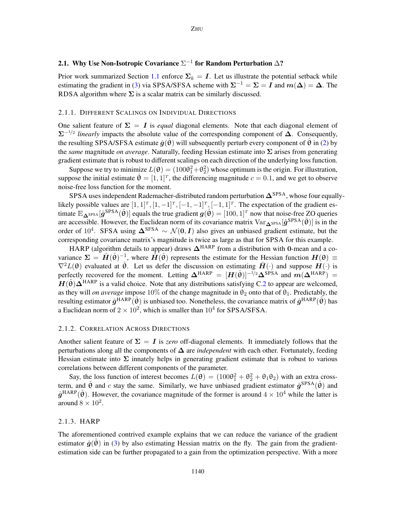# <span id="page-3-0"></span>2.1. Why Use Non-Isotropic Covariance  $\Sigma^{-1}$  for Random Perturbation  $\Delta$ ?

Prior work summarized Section [1.1](#page-1-3) enforce  $\Sigma_k = I$ . Let us illustrate the potential setback while estimating the gradient in [\(3\)](#page-1-1) via SPSA/SFSA scheme with  $\Sigma^{-1} = \Sigma = I$  and  $m(\Delta) = \Delta$ . The RDSA algorithm where  $\Sigma$  is a scalar matrix can be similarly discussed.

#### 2.1.1. DIFFERENT SCALINGS ON INDIVIDUAL DIRECTIONS

One salient feature of  $\Sigma = I$  is *equal* diagonal elements. Note that each diagonal element of  $\sum^{-1/2}$  *linearly* impacts the absolute value of the corresponding component of  $\Delta$ . Consequently, the resulting SPSA/SFSA estimate  $\hat{g}(\hat{\theta})$  will subsequently perturb every component of  $\theta$  in [\(2\)](#page-1-2) by the *same* magnitude *on average*. Naturally, feeding Hessian estimate into Σ arises from generating gradient estimate that is robust to different scalings on each direction of the underlying loss function.

Suppose we try to minimize  $L(\theta) = (100\theta_1^2 + \theta_2^2)$  whose optimum is the origin. For illustration, suppose the initial estimate  $\hat{\theta} = [1, 1]^T$ , the differencing magnitude  $c = 0.1$ , and we get to observe noise-free loss function for the moment.

SPSA uses independent Rademacher-distributed random perturbation  $\Delta^{SPSA}$ , whose four equallylikely possible values are  $[1, 1]^T$ ,  $[1, -1]^T$ ,  $[-1, -1]^T$ ,  $[-1, 1]^T$ . The expectation of the gradient estimate  $\mathbb{E}_{\Delta^{\text{SPSA}}}[\hat{g}^{\text{SPSA}}(\hat{\theta})]$  equals the true gradient  $g(\hat{\theta}) = [100, 1]^T$  now that noise-free ZO queries are accessible. However, the Euclidean norm of its covariance matrix  $Var_{\Delta^{SPSA}}[\hat{g}^{SPSA}(\hat{\theta})]$  is in the order of 10<sup>4</sup>. SFSA using  $\Delta^{\text{SFSA}} \sim \mathcal{N}(0, I)$  also gives an unbiased gradient estimate, but the corresponding covariance matrix's magnitude is twice as large as that for SPSA for this example.

HARP (algorithm details to appear) draws  $\Delta^{\text{HARP}}$  from a distribution with 0-mean and a covariance  $\Sigma = \hat{H}(\hat{\theta})^{-1}$ , where  $\hat{H}(\hat{\theta})$  represents the estimate for the Hessian function  $H(\theta) \equiv$  $\nabla^2 L(\theta)$  evaluated at  $\hat{\theta}$ . Let us defer the discussion on estimating  $\hat{H}(\cdot)$  and suppose  $H(\cdot)$  is perfectly recovered for the moment. Letting  $\Delta^{\text{HARP}} = [H(\hat{\theta})]^{-1/2} \Delta^{\text{SPSA}}$  and  $m(\Delta^{\text{HARP}}) =$  $H(\hat{\theta})\Delta^{\text{HARP}}$  is a valid choice. Note that any distributions satisfying C[.2](#page-8-1) to appear are welcomed, as they will *on average* impose 10% of the change magnitude in  $\theta_2$  onto that of  $\theta_1$ . Predictably, the resulting estimator  $\hat{g}^{\text{HARP}}(\hat{\theta})$  is unbiased too. Nonetheless, the covariance matrix of  $\hat{g}^{\text{HARP}}(\hat{\theta})$  has a Euclidean norm of  $2 \times 10^2$ , which is smaller than  $10^4$  for SPSA/SFSA.

#### 2.1.2. CORRELATION ACROSS DIRECTIONS

Another salient feature of  $\Sigma = I$  is *zero* off-diagonal elements. It immediately follows that the perturbations along all the components of ∆ are *independent* with each other. Fortunately, feeding Hessian estimate into  $\Sigma$  innately helps in generating gradient estimate that is robust to various correlations between different components of the parameter.

Say, the loss function of interest becomes  $L(\theta) = (100\theta_1^2 + \theta_2^2 + \theta_1\theta_2)$  with an extra crossterm, and  $\hat{\theta}$  and c stay the same. Similarly, we have unbiased gradient estimator  $\hat{g}^{SPSA}(\hat{\theta})$  and  $\hat{g}^{\text{HARP}}(\hat{\theta})$ . However, the covariance magnitude of the former is around  $4 \times 10^4$  while the latter is around  $8 \times 10^2$ .

#### <span id="page-3-1"></span>2.1.3. HARP

The aforementioned contrived example explains that we can reduce the variance of the gradient estimator  $\hat{g}(\theta)$  in [\(3\)](#page-1-1) by also estimating Hessian matrix on the fly. The gain from the gradientestimation side can be further propagated to a gain from the optimization perspective. With a more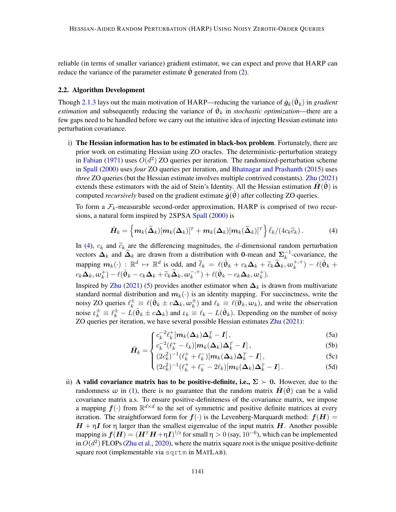reliable (in terms of smaller variance) gradient estimator, we can expect and prove that HARP can reduce the variance of the parameter estimate  $\theta$  generated from [\(2\)](#page-1-2).

#### 2.2. Algorithm Development

Though [2.1.3](#page-3-1) lays out the main motivation of HARP—reducing the variance of  $\hat{g}_k(\hat{\theta}_k)$  in *gradient estimation* and subsequently reducing the variance of  $\hat{\theta}_k$  in *stochastic optimization*—there are a few gaps need to be handled before we carry out the intuitive idea of injecting Hessian estimate into perturbation covariance.

<span id="page-4-2"></span>i) The Hessian information has to be estimated in black-box problem. Fortunately, there are prior work on estimating Hessian using ZO oracles. The deterministic-perturbation strategy in [Fabian](#page-16-6) [\(1971\)](#page-16-6) uses  $O(d^2)$  ZO queries per iteration. The randomized-perturbation scheme in [Spall](#page-17-3) [\(2000\)](#page-17-3) uses *four* ZO queries per iteration, and [Bhatnagar and Prashanth](#page-15-4) [\(2015\)](#page-15-4) uses *three* ZO queries (but the Hessian estimate involves multiple contrived constants). [Zhu](#page-17-5) [\(2021\)](#page-17-5) extends these estimators with the aid of Stein's Identity. All the Hessian estimation  $\hat{H}(\hat{\theta})$  is computed *recursively* based on the gradient estimate  $\hat{g}(\theta)$  after collecting ZO queries.

To form a  $\mathcal{F}_k$ -measurable second-order approximation, HARP is comprised of two recursions, a natural form inspired by 2SPSA [Spall](#page-17-3) [\(2000\)](#page-17-3) is

<span id="page-4-0"></span>
$$
\hat{H}_k = \left\{ m_k(\widetilde{\Delta}_k)[m_k(\Delta_k)]^T + m_k(\Delta_k)[m_k(\widetilde{\Delta}_k)]^T \right\} \bar{\ell}_k/(4c_k \widetilde{c}_k).
$$
 (4)

In [\(4\)](#page-4-0),  $c_k$  and  $\tilde{c}_k$  are the differencing magnitudes, the d-dimensional random perturbation vectors  $\Delta_k$  and  $\widetilde{\Delta}_k$  are drawn from a distribution with 0-mean and  $\Sigma_k^{-1}$  $k^{-1}$ -covariance, the mapping  $m_k(\cdot)$ :  $\mathbb{R}^d \mapsto \mathbb{R}^d$  is odd, and  $\overline{\ell}_k = \ell(\hat{\theta}_k + c_k\Delta_k + \widetilde{c}_k\widetilde{\Delta}_k, \omega_k^{+,+})$  $(k^{+,+}) - \ell(\hat{\theta}_k +$  $c_k \mathbf{\Delta}_k, \omega_k^+)-\ell(\hat{\theta}_k - c_k \mathbf{\Delta}_k + \widetilde{c}_k \widetilde{\mathbf{\Delta}}_k, \omega_k^{-,+}$  $(k^{-,+})+\ell(\hat{\theta}_k-c_k\boldsymbol{\Delta}_k,\omega_k^+).$ 

Inspired by [Zhu](#page-17-5) [\(2021\)](#page-17-5) [\(5\)](#page-4-1) provides another estimator when  $\Delta_k$  is drawn from multivariate standard normal distribution and  $m_k(\cdot)$  is an identity mapping. For succinctness, write the noisy ZO queries  $\ell_k^{\pm} \equiv \ell(\hat{\theta}_k \pm c\Delta_k, \omega_k^{\pm})$  and  $\ell_k \equiv \ell(\hat{\theta}_k, \omega_k)$ , and write the observation noise  $\varepsilon_k^{\pm} \equiv \ell_k^{\pm} - L(\hat{\theta}_k \pm c\Delta_k)$  and  $\varepsilon_k \equiv \ell_k - L(\hat{\theta}_k)$ . Depending on the number of noisy ZO queries per iteration, we have several possible Hessian estimates [Zhu](#page-17-5) [\(2021\)](#page-17-5):

$$
\int c_k^{-2} \ell_k^+ [m_k(\Delta_k) \Delta_k^T - I], \qquad (5a)
$$

$$
\hat{H}_k = \begin{cases}\nc_k^{-2}(\ell_k^+ - \ell_k)[\mathbf{m}_k(\boldsymbol{\Delta}_k)\boldsymbol{\Delta}_k^T - \mathbf{I}],\\
(2.2)^{-1}(\ell_k^+ - \ell_k)[\mathbf{m}_k(\boldsymbol{\Delta}_k)\boldsymbol{\Delta}_k^T - \mathbf{I}].\n\end{cases}
$$
\n(5)

$$
k = \begin{cases} (2c_k^2)^{-1} (\ell_k^+ + \ell_k^-) [\mathbf{m}_k(\mathbf{\Delta}_k) \mathbf{\Delta}_k^T - \mathbf{I}], & (5c) \\ (2c_k^2)^{-1} (\ell_k^+ + \ell_k^- - 2\ell_k) [\mathbf{m}_k(\mathbf{\Delta}_k) \mathbf{\Delta}_k^T - \mathbf{I}]. & (5d) \end{cases}
$$

$$
\left( (2c_k^2)^{-1} (\ell_k^+ + \ell_k^- - 2\ell_k) [m_k(\mathbf{\Delta}_k) \mathbf{\Delta}_k^T - \mathbf{I}]. \right) \tag{5d}
$$

<span id="page-4-3"></span><span id="page-4-1"></span>ii) A valid covariance matrix has to be positive-definite, i.e.,  $\Sigma > 0$ . However, due to the randomness  $\omega$  in [\(1\)](#page-1-0), there is no guarantee that the random matrix  $H(\theta)$  can be a valid covariance matrix a.s. To ensure positive-definiteness of the covariance matrix, we impose a mapping  $f(\cdot)$  from  $\mathbb{R}^{d \times d}$  to the set of symmetric and positive definite matrices at every iteration. The straightforward form for  $f(.)$  is the Levenberg-Marquardt method:  $f(H)$  =  $H + \eta I$  for  $\eta$  larger than the smallest eigenvalue of the input matrix H. Another possible mapping is  $\bm{f}(\bm{H}) = (\bm{H}^T\bm{H} + \eta \bm{I})^{1/2}$  for small  $\eta > 0$  (say,  $10^{-6}$ ), which can be implemented in  $O(d^2)$  FLOPs [\(Zhu et al.,](#page-17-6) [2020\)](#page-17-6), where the matrix square root is the unique positive-definite square root (implementable via sqrtm in MATLAB).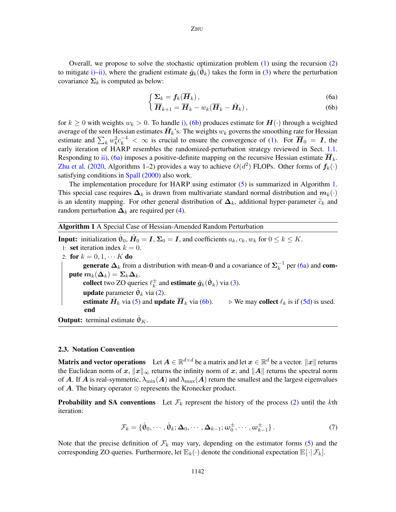Overall, we propose to solve the stochastic optimization problem  $(1)$  using the recursion  $(2)$ to mitigate [i\)–](#page-4-2)[ii\),](#page-4-3) where the gradient estimate  $\hat{g}_k(\hat{\theta}_k)$  takes the form in [\(3\)](#page-1-1) where the perturbation covariance  $\Sigma_k$  is computed as below:

$$
\int \Sigma_k = f_k(\overline{\bm{H}}_k),\tag{6a}
$$

$$
\overline{\mathbf{H}}_{k+1} = \overline{\mathbf{H}}_k - w_k (\overline{\mathbf{H}}_k - \hat{\mathbf{H}}_k),
$$
 (6b)

<span id="page-5-0"></span>for  $k \geq 0$  with weights  $w_k > 0$ . To handle [i\),](#page-4-2) [\(6b\)](#page-5-0) produces estimate for  $H(\cdot)$  through a weighted average of the seen Hessian estimates  $\hat{H}_k$ 's. The weights  $w_k$  governs the smoothing rate for Hessian estimate and  $\sum_k w_k^2 c_k^{-4} < \infty$  is crucial to ensure the convergence of [\(1\)](#page-1-0). For  $\overline{H}_0 = I$ , the early iteration of HARP resembles the randomized-perturbation strategy reviewed in Sect. [1.1.](#page-1-3) Responding to [ii\),](#page-4-3) [\(6a\)](#page-5-0) imposes a positive-definite mapping on the recursive Hessian estimate  $\overline{H}_k$ . [Zhu et al.](#page-17-6) [\(2020,](#page-17-6) Algorithms 1–2) provides a way to achieve  $O(d^2)$  FLOPs. Other forms of  $f_k(\cdot)$ satisfying conditions in [Spall](#page-17-3) [\(2000\)](#page-17-3) also work.

The implementation procedure for HARP using estimator [\(5\)](#page-4-1) is summarized in Algorithm [1.](#page-5-1) This special case requires  $\Delta_k$  is drawn from multivariate standard normal distribution and  $m_k(\cdot)$ is an identity mapping. For other general distribution of  $\Delta_k$ , additional hyper-parameter  $\tilde{c}_k$  and random perturbation  $\mathbf{\Delta}_k$  are required per [\(4\)](#page-4-0).

<span id="page-5-1"></span>

|  |  |  | <b>Algorithm 1</b> A Special Case of Hessian-Amended Random Perturbation |  |
|--|--|--|--------------------------------------------------------------------------|--|
|--|--|--|--------------------------------------------------------------------------|--|

**Input:** initialization  $\hat{\theta}_0$ ,  $\hat{H}_0 = I$ ,  $\Sigma_0 = I$ , and coefficients  $a_k, c_k, w_k$  for  $0 \le k \le K$ . 1: set iteration index  $k = 0$ . 2: for  $k = 0, 1, \cdots K$  do **generate**  $\Delta_k$  from a distribution with mean-0 and a covariance of  $\Sigma_k^{-1}$  $\overline{k}^{\perp}$  per [\(6a\)](#page-5-0) and **com**pute  $m_k(\Delta_k) = \Sigma_k \Delta_k$ . collect two ZO queries  $\ell_k^{\pm}$  $\frac{\pm}{k}$  and **estimate**  $\hat{\boldsymbol{g}}_k(\hat{\boldsymbol{\theta}}_k)$  via [\(3\)](#page-1-1). **update** parameter  $\hat{\theta}_k$  via [\(2\)](#page-1-2). estimate  $\hat{H}_k$  via [\(5\)](#page-4-1) and update  $\overline{H}_k$  via [\(6b\)](#page-5-0).  $\Rightarrow$  We may collect  $\ell_k$  is if [\(5d\)](#page-4-1) is used. end

**Output:** terminal estimate  $\hat{\theta}_K$ .

#### 2.3. Notation Convention

**Matrix and vector operations** Let  $A \in \mathbb{R}^{d \times d}$  be a matrix and let  $x \in \mathbb{R}^d$  be a vector.  $||x||$  returns the Euclidean norm of x,  $||x||_{\infty}$  returns the infinity norm of x, and  $||A||$  returns the spectral norm of A. If A is real-symmetric,  $\lambda_{\min}(A)$  and  $\lambda_{\max}(A)$  return the smallest and the largest eigenvalues of  $\bf{A}$ . The binary operator  $\otimes$  represents the Kronecker product.

**Probability and SA conventions** Let  $\mathcal{F}_k$  represent the history of the process [\(2\)](#page-1-2) until the kth iteration:

$$
\mathcal{F}_k = \{ \hat{\boldsymbol{\theta}}_0, \cdots, \hat{\boldsymbol{\theta}}_k; \boldsymbol{\Delta}_0, \cdots, \boldsymbol{\Delta}_{k-1}; \boldsymbol{\omega}_0^{\pm}, \cdots, \boldsymbol{\omega}_{k-1}^{\pm} \}.
$$
 (7)

Note that the precise definition of  $\mathcal{F}_k$  may vary, depending on the estimator forms [\(5\)](#page-4-1) and the corresponding ZO queries. Furthermore, let  $\mathbb{E}_k(\cdot)$  denote the conditional expectation  $\mathbb{E}[\cdot|\mathcal{F}_k]$ .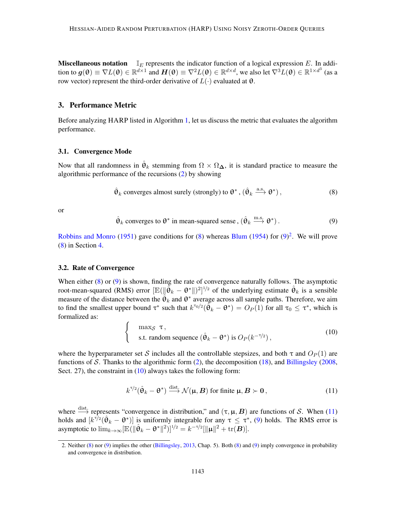**Miscellaneous notation**  $\mathbb{I}_E$  represents the indicator function of a logical expression E. In addition to  $g(\theta) \equiv \nabla L(\theta) \in \mathbb{R}^{d \times 1}$  and  $\mathbf{H}(\theta) \equiv \nabla^2 L(\theta) \in \mathbb{R}^{d \times d}$ , we also let  $\nabla^3 L(\theta) \in \mathbb{R}^{1 \times d^3}$  (as a row vector) represent the third-order derivative of  $L(·)$  evaluated at θ.

# 3. Performance Metric

Before analyzing HARP listed in Algorithm [1,](#page-5-1) let us discuss the metric that evaluates the algorithm performance.

#### <span id="page-6-5"></span>3.1. Convergence Mode

Now that all randomness in  $\hat{\theta}_k$  stemming from  $\Omega \times \Omega_{\Delta}$ , it is standard practice to measure the algorithmic performance of the recursions [\(2\)](#page-1-2) by showing

<span id="page-6-0"></span>
$$
\hat{\theta}_k
$$
 converges almost surely (strongly) to  $\theta^*$ ,  $(\hat{\theta}_k \xrightarrow{a.s.} \theta^*)$ , (8)

or

<span id="page-6-1"></span>
$$
\hat{\theta}_k
$$
 converges to  $\theta^*$  in mean-squared sense,  $(\hat{\theta}_k \xrightarrow{m.s.} \theta^*)$ . (9)

[Robbins and Monro](#page-16-7) [\(1951\)](#page-16-7) gave conditions for  $(8)$  whereas [Blum](#page-15-0) [\(1954\)](#page-15-0) for  $(9)^2$  $(9)^2$  $(9)^2$ . We will prove [\(8\)](#page-6-0) in Section [4.](#page-8-0)

#### 3.2. Rate of Convergence

When either [\(8\)](#page-6-0) or [\(9\)](#page-6-1) is shown, finding the rate of convergence naturally follows. The asymptotic root-mean-squared (RMS) error  $[\mathbb{E}(\|\tilde{\hat{\Theta}}_k - \theta^*\|)^2]^{1/2}$  of the underlying estimate  $\hat{\Theta}_k$  is a sensible measure of the distance between the  $\hat{\theta}_k$  and  $\theta^*$  average across all sample paths. Therefore, we aim to find the smallest upper bound  $\tau^*$  such that  $k^{\tau_0/2}(\tilde{\hat{\theta}}_k - \theta^*) = O_P(1)$  for all  $\tau_0 \leq \tau^*$ , which is formalized as:

<span id="page-6-3"></span>
$$
\begin{cases}\n\max_{\mathcal{S}} \tau, \\
\text{s.t. random sequence } (\hat{\theta}_k - \theta^*) \text{ is } O_P(k^{-\tau/2}),\n\end{cases}
$$
\n(10)

where the hyperparameter set S includes all the controllable stepsizes, and both  $\tau$  and  $O_P(1)$  are functions of S. Thanks to the algorithmic form  $(2)$ , the decomposition  $(18)$ , and [Billingsley](#page-15-5)  $(2008, 100)$  $(2008, 100)$ Sect. 27), the constraint in  $(10)$  always takes the following form:

<span id="page-6-4"></span>
$$
k^{\tau/2}(\hat{\theta}_k - \theta^*) \stackrel{\text{dist.}}{\longrightarrow} \mathcal{N}(\mu, B) \text{ for finite } \mu, B \succ 0,
$$
 (11)

where  $\xrightarrow{\text{dist.}}$  represents "convergence in distribution," and  $(\tau, \mu, B)$  are functions of S. When [\(11\)](#page-6-4) holds and  $[k^{\bar{1}/2}(\hat{\theta}_k - \theta^*)]$  is uniformly integrable for any  $\tau \leq \tau^*$ , [\(9\)](#page-6-1) holds. The RMS error is asymptotic to  $\lim_{k\to\infty} [\mathbb{E}(\|\hat{\theta}_k - \theta^*\|^2)]^{1/2} = k^{-\tau/2} [\|\mu\|^2 + \text{tr}(\boldsymbol{B})].$ 

<span id="page-6-2"></span><sup>2.</sup> Neither [\(8\)](#page-6-0) nor [\(9\)](#page-6-1) implies the other [\(Billingsley,](#page-15-6) [2013,](#page-15-6) Chap. 5). Both [\(8\)](#page-6-0) and [\(9\)](#page-6-1) imply convergence in probability and convergence in distribution.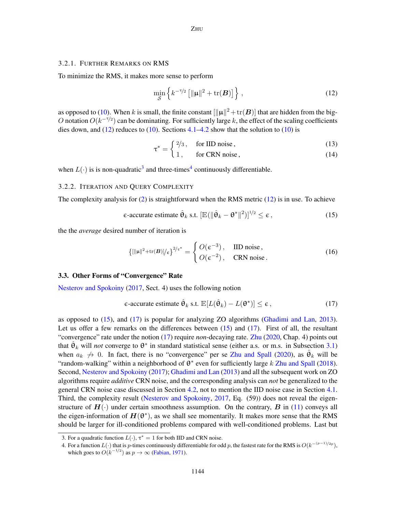#### <span id="page-7-5"></span>3.2.1. FURTHER REMARKS ON RMS

To minimize the RMS, it makes more sense to perform

<span id="page-7-0"></span>
$$
\min_{\mathcal{S}} \left\{ k^{-\tau/2} \left[ \|\mathbf{\mu}\|^2 + \text{tr}(\mathbf{B}) \right] \right\},\tag{12}
$$

as opposed to [\(10\)](#page-6-3). When k is small, the finite constant  $\|\|\mu\|^2 + \text{tr}(\bm{B})\|$  that are hidden from the big-O notation  $O(k^{-\tau/2})$  can be dominating. For sufficiently large k, the effect of the scaling coefficients dies down, and  $(12)$  reduces to  $(10)$ . Sections [4.1](#page-8-2)[–4.2](#page-11-0) show that the solution to  $(10)$  is

$$
\tau^* = \begin{cases} \frac{2}{3}, & \text{for IID noise,} \\ 1 & \text{otherwise} \end{cases}
$$
 (13)

$$
t = 1, \quad \text{for CRN noise}, \tag{14}
$$

when  $L(\cdot)$  is is non-quadratic<sup>[3](#page-7-1)</sup> and three-times<sup>[4](#page-7-2)</sup> continuously differentiable.

#### 3.2.2. ITERATION AND QUERY COMPLEXITY

The complexity analysis for  $(2)$  is straightforward when the RMS metric  $(12)$  is in use. To achieve

<span id="page-7-3"></span>
$$
\epsilon\text{-accurate estimate }\hat{\theta}_k \text{ s.t. } [\mathbb{E}(\|\hat{\theta}_k - \theta^*\|^2)]^{1/2} \le \epsilon \,,\tag{15}
$$

the the *average* desired number of iteration is

<span id="page-7-6"></span>
$$
\{[\|\mu\|^2 + \text{tr}(B)]/\varepsilon\}^{2/\tau^*} = \begin{cases} O(\varepsilon^{-3}), & \text{IID noise,} \\ O(\varepsilon^{-2}), & \text{CRN noise.} \end{cases} \tag{16}
$$

# 3.3. Other Forms of "Convergence" Rate

[Nesterov and Spokoiny](#page-16-8) [\(2017,](#page-16-8) Sect. 4) uses the following notion

<span id="page-7-4"></span>
$$
\epsilon\text{-accurate estimate }\hat{\Theta}_k \text{ s.t. } \mathbb{E}[L(\hat{\Theta}_k) - L(\Theta^*)] \leq \epsilon \,,\tag{17}
$$

as opposed to [\(15\)](#page-7-3), and [\(17\)](#page-7-4) is popular for analyzing ZO algorithms [\(Ghadimi and Lan,](#page-16-9) [2013\)](#page-16-9). Let us offer a few remarks on the differences between [\(15\)](#page-7-3) and [\(17\)](#page-7-4). First of all, the resultant "convergence" rate under the notion [\(17\)](#page-7-4) require *non*-decaying rate. [Zhu](#page-17-7) [\(2020,](#page-17-7) Chap. 4) points out that  $\hat{\theta}_k$  will *not* converge to  $\theta^*$  in standard statistical sense (either a.s. or m.s. in Subsection [3.1\)](#page-6-5) when  $a_k \nrightarrow 0$ . In fact, there is no "convergence" per se [Zhu and Spall](#page-17-8) [\(2020\)](#page-17-8), as  $\hat{\theta}_k$  will be "random-walking" within a neighborhood of  $\theta^*$  even for sufficiently large k [Zhu and Spall](#page-17-9) [\(2018\)](#page-17-9). Second, [Nesterov and Spokoiny](#page-16-8) [\(2017\)](#page-16-8); [Ghadimi and Lan](#page-16-9) [\(2013\)](#page-16-9) and all the subsequent work on ZO algorithms require *additive* CRN noise, and the corresponding analysis can *not* be generalized to the general CRN noise case discussed in Section [4.2,](#page-11-0) not to mention the IID noise case in Section [4.1.](#page-8-2) Third, the complexity result [\(Nesterov and Spokoiny,](#page-16-8) [2017,](#page-16-8) Eq. (59)) does not reveal the eigenstructure of  $H(\cdot)$  under certain smoothness assumption. On the contrary, B in [\(11\)](#page-6-4) conveys all the eigen-information of  $H(\theta^*)$ , as we shall see momentarily. It makes more sense that the RMS should be larger for ill-conditioned problems compared with well-conditioned problems. Last but

<span id="page-7-1"></span><sup>3.</sup> For a quadratic function  $L(\cdot)$ ,  $\tau^* = 1$  for both IID and CRN noise.

<span id="page-7-2"></span><sup>4.</sup> For a function  $L(\cdot)$  that is p-times continuously differentiable for odd p, the fastest rate for the RMS is  $O(k^{-(p-1)/2p})$ , which goes to  $O(k^{-1/2})$  as  $p \to \infty$  [\(Fabian,](#page-16-6) [1971\)](#page-16-6).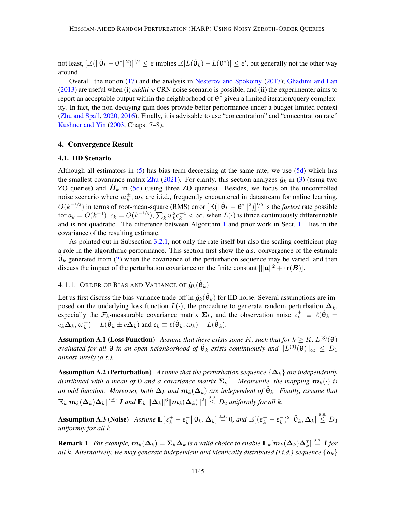not least,  $[\mathbb{E}(\|\hat{\theta}_k - \theta^*\|^2)]^{1/2} \leq \epsilon$  implies  $\mathbb{E}[L(\hat{\theta}_k) - L(\theta^*)] \leq \epsilon'$ , but generally not the other way around.

Overall, the notion [\(17\)](#page-7-4) and the analysis in [Nesterov and Spokoiny](#page-16-8) [\(2017\)](#page-16-8); [Ghadimi and Lan](#page-16-9) [\(2013\)](#page-16-9) are useful when (i) *additive* CRN noise scenario is possible, and (ii) the experimenter aims to report an acceptable output within the neighborhood of  $\theta^*$  given a limited iteration/query complexity. In fact, the non-decaying gain does provide better performance under a budget-limited context [\(Zhu and Spall,](#page-17-8) [2020,](#page-17-8) [2016\)](#page-17-10). Finally, it is advisable to use "concentration" and "concentration rate" [Kushner and Yin](#page-16-10) [\(2003,](#page-16-10) Chaps. 7–8).

## <span id="page-8-0"></span>4. Convergence Result

#### <span id="page-8-2"></span>4.1. IID Scenario

Although all estimators in [\(5\)](#page-4-1) has bias term decreasing at the same rate, we use [\(5d\)](#page-4-1) which has the smallest covariance matrix [Zhu](#page-17-5) [\(2021\)](#page-17-5). For clarity, this section analyzes  $\hat{g}_k$  in [\(3\)](#page-1-1) (using two ZO queries) and  $\hat{H}_k$  in [\(5d\)](#page-4-1) (using three ZO queries). Besides, we focus on the uncontrolled noise scenario where  $\omega_k^{\pm}$ ,  $\omega_k$  are i.i.d., frequently encountered in datastream for online learning.  $O(k^{-1/3})$  in terms of root-mean-square (RMS) error  $[\mathbb{E}(\|\hat{\theta}_k - \theta^*\|^2)]^{1/2}$  is the *fastest* rate possible for  $a_k = O(k^{-1})$ ,  $c_k = O(k^{-1/6})$ ,  $\sum_k w_k^2 c_k^{-4} < \infty$ , when  $L(\cdot)$  is thrice continuously differentiable and is not quadratic. The difference between Algorithm [1](#page-5-1) and prior work in Sect. [1.1](#page-1-3) lies in the covariance of the resulting estimate.

As pointed out in Subsection [3.2.1,](#page-7-5) not only the rate itself but also the scaling coefficient play a role in the algorithmic performance. This section first show the a.s. convergence of the estimate  $\hat{\theta}_k$  generated from [\(2\)](#page-1-2) when the covariance of the perturbation sequence may be varied, and then discuss the impact of the perturbation covariance on the finite constant  $[\|\mu\|^2 + \text{tr}(\boldsymbol{B})]$ .

# 4.1.1. Order of Bias and Variance of  $\hat{\bm{g}}_k(\hat{\bm{\theta}}_k)$

Let us first discuss the bias-variance trade-off in  $\hat{g}_k(\hat{\theta}_k)$  for IID noise. Several assumptions are imposed on the underlying loss function  $L(\cdot)$ , the procedure to generate random perturbation  $\Delta_k$ , especially the  $\mathcal{F}_k$ -measurable covariance matrix  $\Sigma_k$ , and the observation noise  $\varepsilon_k^{\pm} \equiv \ell(\hat{\theta}_k \pm \hat{\theta}_k)$  $c_k \mathbf{\Delta}_k, \omega_k^{\pm}) - L(\hat{\theta}_k \pm c \mathbf{\Delta}_k)$  and  $\varepsilon_k \equiv \ell(\hat{\theta}_k, \omega_k) - L(\hat{\theta}_k)$ .

<span id="page-8-3"></span>**Assumption A.1 (Loss Function)** Assume that there exists some K, such that for  $k \ge K$ ,  $L^{(3)}(\theta)$ *evaluated for all*  $\theta$  *in an open neighborhood of*  $\hat{\theta}_k$  *exists continuously and*  $\|L^{(3)}(\theta)\|_\infty \leq D_1$ *almost surely (a.s.).*

<span id="page-8-1"></span>**Assumption A.2 (Perturbation)** *Assume that the perturbation sequence*  $\{\Delta_k\}$  *are independently* distributed with a mean of **0** and a covariance matrix  $\Sigma_k^{-1}$  $\frac{-1}{k}$ . Meanwhile, the mapping  $m_k(\cdot)$  is an odd function. Moreover, both  $\Delta_k$  and  $m_k(\Delta_k)$  are independent of  $\hat{\theta}_k$ . Finally, assume that  $\mathbb{E}_k[m_k(\mathbf{\Delta}_k) \mathbf{\Delta}_k] \stackrel{\text{a.s.}}{=} \textit{I}$  and  $\mathbb{E}_k[\|\mathbf{\Delta}_k\|^6 \|\textit{m}_k(\mathbf{\Delta}_k)\|^2] \stackrel{\text{a.s.}}{\leq} D_2$  uniformly for all k.

<span id="page-8-4"></span>**Assumption A.3 (Noise)** Assume  $\mathbb{E}[\,\varepsilon_k^+ - \varepsilon_k^-]$  $\mathcal{L}_{k}^{-} \, \big| \, \hat{\Theta}_{k}, \mathbf{\Delta}_{k} \big| \stackrel{\text{a.s.}}{=} 0, \text{ and } \mathbb{E} \big[ \big( \varepsilon_{k}^{+} - \varepsilon_{k}^{-} \big) \big]$  $\left| \hat{\mathbf{e}}_k, \mathbf{\Delta}_k \right| \stackrel{\text{a.s.}}{\leq} D_3$ *uniformly for all* k*.*

**Remark 1** For example,  $m_k(\Delta_k) = \Sigma_k \Delta_k$  is a valid choice to enable  $\mathbb{E}_k[m_k(\Delta_k) \Delta_k^T] \stackrel{\text{a.s.}}{=} I$  for *all* k*.* Alternatively, we may generate independent and identically distributed (i.i.d.) sequence  $\{\delta_k\}$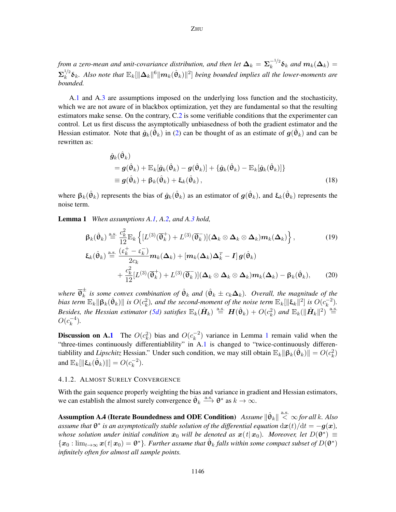*from a zero-mean and unit-covariance distribution, and then let*  $\Delta_k = \Sigma_k^{-1/2}$  $\int_k^{-1/2} \delta_k$  and  $m_k(\Delta_k) =$  $\boldsymbol{\Sigma}_k^{1/2}$  $\int_k^{1/2} \delta_k$ . Also note that  $\mathbb{E}_k[\|\Delta_k\|^6\|m_k(\hat{\theta}_k)\|^2]$  being bounded implies all the lower-moments are *bounded.*

A[.1](#page-8-3) and A[.3](#page-8-4) are assumptions imposed on the underlying loss function and the stochasticity, which we are not aware of in blackbox optimization, yet they are fundamental so that the resulting estimators make sense. On the contrary, C[.2](#page-8-1) is some verifiable conditions that the experimenter can control. Let us first discuss the asymptotically unbiasedness of both the gradient estimator and the Hessian estimator. Note that  $\hat{g}_k(\hat{\theta}_k)$  in [\(2\)](#page-1-2) can be thought of as an estimate of  $g(\hat{\theta}_k)$  and can be rewritten as:

<span id="page-9-4"></span><span id="page-9-0"></span>
$$
\hat{g}_k(\hat{\theta}_k)
$$
\n
$$
= g(\hat{\theta}_k) + \mathbb{E}_k[\hat{g}_k(\hat{\theta}_k) - g(\hat{\theta}_k)] + \{\hat{g}_k(\hat{\theta}_k) - \mathbb{E}_k[\hat{g}_k(\hat{\theta}_k)]\}
$$
\n
$$
\equiv g(\hat{\theta}_k) + \beta_k(\hat{\theta}_k) + \xi_k(\hat{\theta}_k),
$$
\n(18)

where  $\beta_k(\hat{\theta}_k)$  represents the bias of  $\hat{g}_k(\hat{\theta}_k)$  as an estimator of  $g(\hat{\theta}_k)$ , and  $\xi_k(\hat{\theta}_k)$  represents the noise term.

<span id="page-9-1"></span>Lemma 1 *When assumptions A[.1,](#page-8-3) A[.2,](#page-8-1) and A[.3](#page-8-4) hold,*

<span id="page-9-5"></span>
$$
\beta_k(\hat{\theta}_k) \stackrel{\text{a.s.}}{=} \frac{c_k^2}{12} \mathbb{E}_k \left\{ [L^{(3)}(\overline{\theta}_k^+) + L^{(3)}(\overline{\theta}_k^-)] (\Delta_k \otimes \Delta_k \otimes \Delta_k) m_k(\Delta_k) \right\},\tag{19}
$$
\n
$$
\xi_k(\hat{\theta}_k) \stackrel{\text{a.s.}}{=} \frac{(\varepsilon_k^+ - \varepsilon_k^-)}{2c_k} m_k(\Delta_k) + [m_k(\Delta_k)\Delta_k^T - I] g(\hat{\theta}_k)
$$
\n
$$
+ \frac{c_k^2}{12} [L^{(3)}(\overline{\theta}_k^+) + L^{(3)}(\overline{\theta}_k^-)] (\Delta_k \otimes \Delta_k \otimes \Delta_k) m_k(\Delta_k) - \beta_k(\hat{\theta}_k),\tag{20}
$$

where  $\overline{\theta}_k^{\pm}$  $\frac{1}{k}$  is some convex combination of  $\hat{\theta}_k$  and  $(\hat{\theta}_k \pm c_k \Delta_k)$ . Overall, the magnitude of the *bias term*  $\mathbb{E}_k \|\beta_k(\hat{\theta}_k)\|$  *is*  $O(c_k^2)$ *, and the second-moment of the noise term*  $\mathbb{E}_k[\|\xi_k\|^2]$  *is*  $O(c_k^{-2})$ *. Besides, the Hessian estimator [\(5d\)](#page-4-1) satisfies*  $\mathbb{E}_k(\hat{H}_k) \stackrel{\text{a.s.}}{=} H(\hat{\theta}_k) + O(c_k^2)$  and  $\mathbb{E}_k(\|\hat{H}_k\|^2) \stackrel{\text{a.s.}}{=}$  $O(c_k^{-4})$  $\binom{-4}{k}$ .

<span id="page-9-6"></span>**Discussion on A[.1](#page-8-3)** The  $O(c_k^2)$  bias and  $O(c_k^{-2})$  $k^{-2}$ ) variance in Lemma [1](#page-9-1) remain valid when the "three-times continuously differentiablility" in A[.1](#page-8-3) is changed to "twice-continuously differentiablility and *Lipschitz* Hessian." Under such condition, we may still obtain  $\mathbb{E}_k \|\beta_k(\hat{\theta}_k)\| = O(c_k^2)$ and  $\mathbb{E}_k[\|\mathbf{\xi}_k(\hat{\theta}_k)\|] = O(c_k^{-2})$  $\binom{-2}{k}$ .

## 4.1.2. ALMOST SURELY CONVERGENCE

With the gain sequence properly weighting the bias and variance in gradient and Hessian estimators, we can establish the almost surely convergence  $\hat{\theta}_k \stackrel{\text{a.s.}}{\longrightarrow} \theta^*$  as  $k \to \infty$ .

<span id="page-9-3"></span><span id="page-9-2"></span> ${\bf Assumption~A.4}$  (Iterate Boundedness and ODE Condition)  $\left. Assume \right\|\hat{\bm{\theta}}_k \right\| \stackrel{\rm a.s.}{<} \infty$  *for all k. Also* assume that  $\theta^*$  is an asymptotically stable solution of the differential equation  $\mathrm{d}\bm{x}(t)/\mathrm{d}t = -\bm{g}(\bm{x})$ , *whose solution under initial condition*  $x_0$  *will be denoted as*  $x(t|x_0)$ *. Moreover, let*  $D(\theta^*) \equiv$  $\{x_0: \lim_{t\to\infty} x(t|x_0)=\theta^*\}$ . Further assume that  $\hat{\theta}_k$  falls within some compact subset of  $D(\theta^*)$ *infinitely often for almost all sample points.*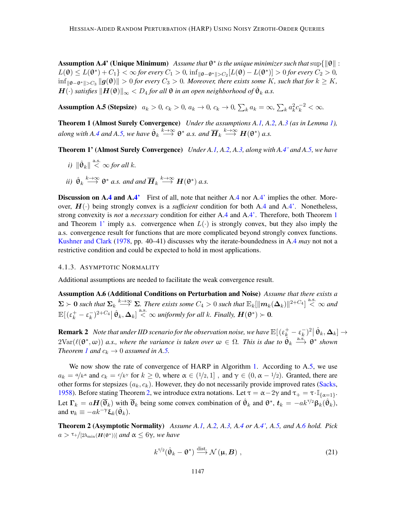**Assumption A.4' (Unique Minimum)** Assume that  $\theta^*$  is the unique minimizer such that  $\sup\{\|\theta\|$ :  $L(\theta) \le L(\theta^*) + C_1$ }  $< \infty$  for every  $C_1 > 0$ ,  $\inf_{\|\theta - \theta^*\| > C_2} [L(\theta) - L(\theta^*)] > 0$  for every  $C_2 > 0$ ,  $\inf_{\|\theta-\theta^*\|>C_3}\|g(\theta)\|>0$  *for every*  $C_3>0$ *. Moreover, there exists some* K*, such that for*  $k≥K$ *,*  $\bm{H}(\cdot)$  satisfies  $\|\bm{H}(\bm{\theta})\|_{\infty} < D_4$  for all  $\bm{\theta}$  in an open neighborhood of  $\hat{\bm{\theta}}_k$  a.s.

<span id="page-10-0"></span>Assumption A.5 (Stepsize)  $a_k > 0$ ,  $c_k > 0$ ,  $a_k \to 0$ ,  $c_k \to 0$ ,  $\sum_k a_k = \infty$ ,  $\sum_k a_k^2 c_k^{-2} < \infty$ .

<span id="page-10-1"></span>Theorem 1 (Almost Surely Convergence) *Under the assumptions A[.1,](#page-8-3) A[.2,](#page-8-1) A[.3](#page-8-4) (as in Lemma [1\)](#page-9-1),*  $a$ long with A[.4](#page-9-2) and A[.5,](#page-10-0) we have  $\hat{\theta}_k \stackrel{k\to\infty}{\longrightarrow} \theta^*$  a.s. and  $\overline{H}_k \stackrel{k\to\infty}{\longrightarrow} H(\theta^*)$  a.s.

<span id="page-10-2"></span>Theorem 1' (Almost Surely Convergence) *Under A[.1,](#page-8-3) A[.2,](#page-8-1) A[.3,](#page-8-4) along with A[.4'](#page-9-3) and A[.5,](#page-10-0) we have*

- <span id="page-10-7"></span>*i*)  $\|\hat{\theta}_k\| \leq \infty$  *for all k.*
- <span id="page-10-8"></span>*ii*)  $\hat{\theta}_k \stackrel{k\rightarrow\infty}{\longrightarrow} \theta^*$  *a.s. and and*  $\overline{H}_k \stackrel{k\rightarrow\infty}{\longrightarrow} H(\theta^*)$  *a.s.*

**Discussion on A[.4](#page-9-2) and A[.4'](#page-9-3)** First of all, note that neither A.4 nor A.4' implies the other. Moreover,  $H(\cdot)$  being strongly convex is a *sufficient* condition for both A[.4](#page-9-2) and A[.4'.](#page-9-3) Nonetheless, strong convexity is *not* a *necessary* condition for either A[.4](#page-9-2) and A[.4'.](#page-9-3) Therefore, both Theorem [1](#page-10-1) and Theorem [1'](#page-10-2) imply a.s. convergence when  $L(\cdot)$  is strongly convex, but they also imply the a.s. convergence result for functions that are more complicated beyond strongly convex functions. [Kushner and Clark](#page-16-11) [\(1978,](#page-16-11) pp. 40–41) discusses why the iterate-boundedness in A[.4](#page-9-2) *may* not not a restrictive condition and could be expected to hold in most applications.

## 4.1.3. ASYMPTOTIC NORMALITY

Additional assumptions are needed to facilitate the weak convergence result.

Assumption A.6 (Additional Conditions on Perturbation and Noise) *Assume that there exists a*  $\Sigma \succ 0$  such that  $\Sigma_k \stackrel{k\to\infty}{\longrightarrow} \Sigma$ . There exists some  $C_4 > 0$  such that  $\mathbb{E}_k[\|\boldsymbol{m}_k(\boldsymbol{\Delta}_k)\|^{2+C_4}] \stackrel{\text{a.s.}}{<} \infty$  and  $\mathbb{E}[(\varepsilon^+_k-\varepsilon^-_k$  $(\sum_{k=1}^{n} e_k)^{2+C_4}$   $|\hat{\theta}_k, \Delta_k| \stackrel{\text{a.s.}}{<} \infty$  *uniformly for all k. Finally,*  $H(\theta^*) > 0$ .

<span id="page-10-5"></span>**Remark 2** *Note that under IID scenario for the observation noise, we have*  $\mathbb{E}[(\varepsilon_k^+ - \varepsilon_k^-)]$  $\frac{1}{k} )^2 \big| \, \hat{\Theta}_k, {\bf \Delta}_k ] \rightarrow$  $2\text{Var}(\ell(\theta^*,\omega))$  *a.s., where the variance is taken over*  $\omega \in \Omega$ . This is due to  $\hat{\theta}_k \stackrel{\text{a.s.}}{\longrightarrow} \theta^*$  shown *Theorem [1](#page-10-1) and*  $c_k \rightarrow 0$  *assumed in A[.5.](#page-10-0)* 

We now show the rate of convergence of HARP in Algorithm [1.](#page-5-1) According to A[.5,](#page-10-0) we use  $a_k = \alpha/k^{\alpha}$  and  $c_k = c/k^{\gamma}$  for  $k \ge 0$ , where  $\alpha \in (1/2, 1]$ , and  $\gamma \in (0, \alpha - 1/2)$ . Granted, there are other forms for stepsizes  $(a_k, c_k)$ . However, they do not necessarily provide improved rates [\(Sacks,](#page-17-11) [1958\)](#page-17-11). Before stating Theorem [2,](#page-10-3) we introduce extra notations. Let  $\tau = \alpha - 2\gamma$  and  $\tau_{+} = \tau \cdot \mathbb{I}_{\{\alpha=1\}}$ . Let  $\Gamma_k = aH(\overline{\theta}_k)$  with  $\overline{\theta}_k$  being some convex combination of  $\hat{\theta}_k$  and  $\theta^*$ ,  $t_k = -ak^{\tau/2}\beta_k(\hat{\theta}_k)$ , and  $\boldsymbol{v}_k \equiv -ak^{-\gamma} \boldsymbol{\xi}_k(\hat{\boldsymbol{\theta}}_k)$ .

Theorem 2 (Asymptotic Normality) *Assume A[.1,](#page-8-3) A[.2,](#page-8-1) A[.3,](#page-8-4) A[.4](#page-9-2) or A[.4',](#page-9-3) A[.5,](#page-10-0) and A[.6](#page-10-4) hold. Pick*  $a > \tau +$ /[2λ<sub>min</sub>(**H**( $θ^*$ ))] *and* α ≤ 6γ*, we have* 

<span id="page-10-6"></span><span id="page-10-4"></span><span id="page-10-3"></span>
$$
k^{\tau/2}(\hat{\theta}_k - \theta^*) \stackrel{\text{dist}}{\longrightarrow} \mathcal{N}(\mu, B) , \qquad (21)
$$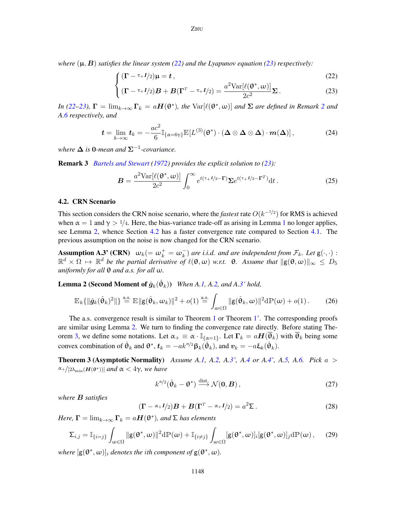<span id="page-11-1"></span>*where*  $(\mu, B)$  *satisfies the linear system* [\(22\)](#page-11-1) *and the Lyapunov equation* [\(23\)](#page-11-1) *respectively:* 

$$
\int (\Gamma - \tau + I/2)\mu = t,
$$
\n(22)

<span id="page-11-8"></span>
$$
\left\{ (\mathbf{\Gamma} - \tau + I/2) \mathbf{B} + \mathbf{B} (\mathbf{\Gamma}^T - \tau + I/2) = \frac{a^2 \text{Var}[\ell(\mathbf{\theta}^*, \omega)]}{2c^2} \Sigma. \right. \tag{23}
$$

*In* [\(22–23\)](#page-11-1),  $\mathbf{\Gamma} = \lim_{k\to\infty} \mathbf{\Gamma}_k = a\mathbf{H}(\mathbf{\theta}^*)$ , the  $\text{Var}[\ell(\mathbf{\theta}^*, \omega)]$  and  $\Sigma$  are defined in Remark [2](#page-10-5) and *A[.6](#page-10-4) respectively, and*

$$
\boldsymbol{t} = \lim_{k \to \infty} \boldsymbol{t}_k = -\frac{ac^2}{6} \mathbb{I}_{\{\alpha = 6\gamma\}} \mathbb{E}[L^{(3)}(\boldsymbol{\theta}^*) \cdot (\boldsymbol{\Delta} \otimes \boldsymbol{\Delta} \otimes \boldsymbol{\Delta}) \cdot \boldsymbol{m}(\boldsymbol{\Delta})], \tag{24}
$$

*where* ∆ *is* 0*-mean and* Σ−<sup>1</sup> *-covariance.*

<span id="page-11-7"></span>Remark 3 *[Bartels and Stewart](#page-15-7) [\(1972\)](#page-15-7) provides the explicit solution to [\(23\)](#page-11-1):*

<span id="page-11-6"></span><span id="page-11-3"></span>
$$
\boldsymbol{B} = \frac{a^2 \text{Var}[\ell(\boldsymbol{\theta}^*, \omega)]}{2c^2} \int_0^\infty e^{t(\tau + I/2 - \Gamma)} \Sigma e^{t(\tau + I/2 - \Gamma^T)} dt. \tag{25}
$$

#### <span id="page-11-0"></span>4.2. CRN Scenario

This section considers the CRN noise scenario, where the *fastest* rate  $O(k^{-1/2})$  for RMS is achieved when  $\alpha = 1$  $\alpha = 1$  and  $\gamma > 1/4$ . Here, the bias-variance trade-off as arising in Lemma 1 no longer applies, see Lemma [2,](#page-11-2) whence Section [4.2](#page-11-0) has a faster convergence rate compared to Section [4.1.](#page-8-2) The previous assumption on the noise is now changed for the CRN scenario.

**Assumption A.3' (CRN)**  $\omega_k (= \omega_k^+ = \omega_k^-)$  are i.i.d. and are independent from  $\mathcal{F}_k$ . Let  $g(\cdot, \cdot)$ :  $\mathbb{R}^d \times \Omega \mapsto \mathbb{R}^d$  be the partial derivative of  $\ell(\theta, \omega)$  w.r.t.  $\theta$ . Assume that  $\|g(\theta, \omega)\|_{\infty} \leq D_5$ *uniformly for all* θ *and a.s. for all* ω*.*

<span id="page-11-2"></span>**Lemma 2 (Second Moment of**  $\hat{g}_k(\hat{\theta}_k)$ **)** *When A[.1,](#page-8-3) A[.2,](#page-8-1) and A[.3'](#page-11-3) hold,* 

$$
\mathbb{E}_k \{\|\hat{\boldsymbol{g}}_k(\hat{\boldsymbol{\theta}}_k)^2\|\} \stackrel{\text{a.s.}}{=} \mathbb{E}\|\mathbf{g}(\hat{\boldsymbol{\theta}}_k, \boldsymbol{\omega}_k)\|^2 + o(1) \stackrel{\text{a.s.}}{=} \int_{\omega \in \Omega} \|\mathbf{g}(\hat{\boldsymbol{\theta}}_k, \boldsymbol{\omega})\|^2 d\mathbb{P}(\boldsymbol{\omega}) + o(1).
$$
 (26)

The a.s. convergence result is similar to Theorem [1](#page-10-1) or Theorem [1'.](#page-10-2) The corresponding proofs are similar using Lemma [2.](#page-11-2) We turn to finding the convergence rate directly. Before stating The-orem [3,](#page-11-4) we define some notations. Let  $\alpha_+ \equiv \alpha \cdot \mathbb{I}_{\{\alpha=1\}}$ . Let  $\Gamma_k = aH(\overline{\theta}_k)$  with  $\overline{\theta}_k$  being some convex combination of  $\hat{\theta}_k$  and  $\theta^*, \mathbf{t}_k = -ak^{\alpha/2} \beta_k(\hat{\theta}_k)$ , and  $\mathbf{v}_k = -a \xi_k(\hat{\theta}_k)$ .

<span id="page-11-4"></span>Theorem 3 (Asymptotic Normality) *Assume A[.1,](#page-8-3) A[.2,](#page-8-1) A[.3',](#page-11-3) A[.4](#page-9-2) or A[.4',](#page-9-3) A[.5,](#page-10-0) A[.6.](#page-10-4) Pick* a >  $\alpha + / [2\lambda_{\min}(\mathbf{H}(\theta^*))]$  *and*  $\alpha < 4\gamma$ *, we have* 

<span id="page-11-9"></span><span id="page-11-5"></span>
$$
k^{\alpha/2}(\hat{\theta}_k - \theta^*) \xrightarrow{\text{dist.}} \mathcal{N}(\mathbf{0}, \mathbf{B}), \qquad (27)
$$

*where* B *satisfies*

$$
(\mathbf{\Gamma} - \alpha + I/2)\mathbf{B} + \mathbf{B}(\mathbf{\Gamma}^T - \alpha + I/2) = a^2 \Sigma.
$$
 (28)

*Here,*  $\mathbf{\Gamma} = \lim_{k \to \infty} \mathbf{\Gamma}_k = a\boldsymbol{H}(\boldsymbol{\theta}^*)$ *, and*  $\boldsymbol{\Sigma}$  *has elements* 

$$
\Sigma_{i,j} = \mathbb{I}_{\{i=j\}} \int_{\omega \in \Omega} ||g(\theta^*, \omega)||^2 d\mathbb{P}(\omega) + \mathbb{I}_{\{i \neq j\}} \int_{\omega \in \Omega} [g(\theta^*, \omega)]_i [g(\theta^*, \omega)]_j d\mathbb{P}(\omega), \quad (29)
$$

where  $[g(\theta^*, \omega)]_i$  *denotes the ith component of*  $g(\theta^*, \omega)$ *.*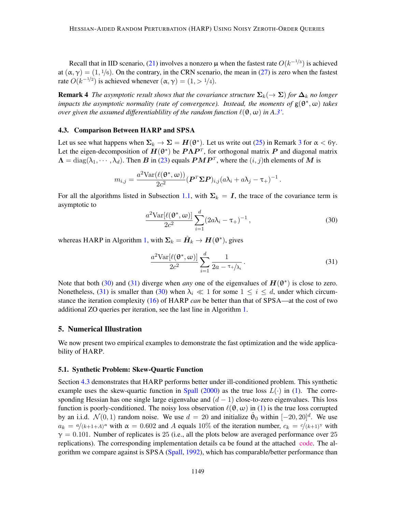Recall that in IID scenario, [\(21\)](#page-10-6) involves a nonzero  $\mu$  when the fastest rate  $O(k^{-1/3})$  is achieved at  $(\alpha, \gamma) = (1, 1/6)$ . On the contrary, in the CRN scenario, the mean in [\(27\)](#page-11-5) is zero when the fastest rate  $O(k^{-1/2})$  is achieved whenever  $(\alpha, \gamma) = (1, > 1/4)$ .

**Remark 4** *The asymptotic result shows that the covariance structure*  $\Sigma_k(\to \Sigma)$  *for*  $\Delta_k$  *no longer impacts the asymptotic normality (rate of convergence). Instead, the moments of* g(θ ∗ , ω) *takes over given the assumed differentiablility of the random function*  $\ell(\theta, \omega)$  *in A[.3'.](#page-11-3)* 

### <span id="page-12-3"></span>4.3. Comparison Between HARP and SPSA

Let us see what happens when  $\Sigma_k \to \Sigma = H(\theta^*)$ . Let us write out [\(25\)](#page-11-6) in Remark [3](#page-11-7) for  $\alpha < 6\gamma$ . Let the eigen-decomposition of  $H(\theta^*)$  be  $P\Lambda P^T$ , for orthogonal matrix P and diagonal matrix  $\mathbf{\Lambda} = \text{diag}(\lambda_1, \cdots, \lambda_d)$ . Then  $\bm{B}$  in [\(23\)](#page-11-1) equals  $\bm{PMP}^T$ , where the  $(i, j)$ th elements of  $\bm{M}$  is

$$
m_{i,j} = \frac{a^2 \text{Var}(\ell(\mathbf{\theta}^*, \omega))}{2c^2} (\boldsymbol{P}^T \boldsymbol{\Sigma} \boldsymbol{P})_{i,j} (a \lambda_i + a \lambda_j - \tau_+)^{-1}.
$$

For all the algorithms listed in Subsection [1.1,](#page-1-3) with  $\Sigma_k = I$ , the trace of the covariance term is asymptotic to

<span id="page-12-1"></span>
$$
\frac{a^2 \text{Var}[\ell(\boldsymbol{\theta}^*, \omega)]}{2c^2} \sum_{i=1}^d (2a\lambda_i - \tau_+)^{-1}, \qquad (30)
$$

whereas HARP in Algorithm [1,](#page-5-1) with  $\Sigma_k = \hat{H}_k \to H(\theta^*)$ , gives

<span id="page-12-2"></span>
$$
\frac{a^2 \text{Var}[\ell(\boldsymbol{\theta}^*, \omega)]}{2c^2} \sum_{i=1}^d \frac{1}{2a - \tau_i \lambda_i}.
$$
 (31)

Note that both [\(30\)](#page-12-1) and [\(31\)](#page-12-2) diverge when *any* one of the eigenvalues of  $H(\theta^*)$  is close to zero. Nonetheless, [\(31\)](#page-12-2) is smaller than [\(30\)](#page-12-1) when  $\lambda_i \ll 1$  for some  $1 \leq i \leq d$ , under which circumstance the iteration complexity [\(16\)](#page-7-6) of HARP *can* be better than that of SPSA—at the cost of two additional ZO queries per iteration, see the last line in Algorithm [1.](#page-5-1)

## <span id="page-12-0"></span>5. Numerical Illustration

We now present two empirical examples to demonstrate the fast optimization and the wide applicability of HARP.

## 5.1. Synthetic Problem: Skew-Quartic Function

Section [4.3](#page-12-3) demonstrates that HARP performs better under ill-conditioned problem. This synthetic example uses the skew-quartic function in [Spall](#page-17-3) [\(2000\)](#page-17-3) as the true loss  $L(\cdot)$  in [\(1\)](#page-1-0). The corresponding Hessian has one single large eigenvalue and  $(d - 1)$  close-to-zero eigenvalues. This loss function is poorly-conditioned. The noisy loss observation  $\ell(\theta, \omega)$  in [\(1\)](#page-1-0) is the true loss corrupted by an i.i.d.  $\mathcal{N}(0, 1)$  random noise. We use  $d = 20$  and initialize  $\hat{\theta}_0$  within  $[-20, 20]^d$ . We use  $a_k = \frac{a}{(k+1+A)^{\alpha}}$  with  $\alpha = 0.602$  and A equals 10% of the iteration number,  $c_k = \frac{c}{(k+1)^{\gamma}}$  with  $\gamma = 0.101$ . Number of replicates is 25 (i.e., all the plots below are averaged performance over 25 replications). The corresponding implementation details ca be found at the attached [code.](https://github.com/jingyi-zhu/Fast2SPSA/tree/master/HARP) The algorithm we compare against is SPSA [\(Spall,](#page-17-1) [1992\)](#page-17-1), which has comparable/better performance than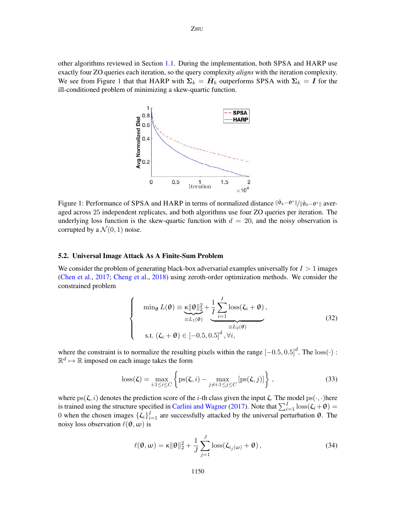<span id="page-13-0"></span>other algorithms reviewed in Section [1.1.](#page-1-3) During the implementation, both SPSA and HARP use exactly four ZO queries each iteration, so the query complexity *aligns* with the iteration complexity. We see from Figure [1](#page-13-0) that that HARP with  $\Sigma_k = \hat{H}_k$  outperforms SPSA with  $\Sigma_k = I$  for the ill-conditioned problem of minimizing a skew-quartic function.



Figure 1: Performance of SPSA and HARP in terms of normalized distance  $\|\hat{\theta}_k-\theta^*\|/\|\hat{\theta}_0-\theta^*\|$  averaged across 25 independent replicates, and both algorithms use four ZO queries per iteration. The underlying loss function is the skew-quartic function with  $d = 20$ , and the noisy observation is corrupted by a  $\mathcal{N}(0, 1)$  noise.

# 5.2. Universal Image Attack As A Finite-Sum Problem

We consider the problem of generating black-box adversarial examples universally for  $I > 1$  images [\(Chen et al.,](#page-15-8) [2017;](#page-15-8) [Cheng et al.,](#page-15-9) [2018\)](#page-15-9) using zeroth-order optimization methods. We consider the constrained problem

<span id="page-13-1"></span>
$$
\begin{cases}\n\min_{\theta} L(\theta) \equiv \underbrace{\kappa \|\theta\|_{2}^{2}}_{\equiv L_{1}(\theta)} + \frac{1}{I} \sum_{i=1}^{I} \text{loss}(\zeta_{i} + \theta), \\
\text{s.t. } (\zeta_{i} + \theta) \in [-0.5, 0.5]^{d}, \forall i,\n\end{cases}
$$
\n(32)

where the constraint is to normalize the resulting pixels within the range  $[-0.5, 0.5]^d$ . The  $loss(\cdot)$ :  $\mathbb{R}^d \mapsto \mathbb{R}$  imposed on each image takes the form

$$
loss(\zeta) = \max_{i:1 \le i \le C} \left\{ ps(\zeta, i) - \max_{j \ne i:1 \le j \le C} [ps(\zeta, j)] \right\},\tag{33}
$$

where ps( $\zeta$ , i) denotes the prediction score of the i-th class given the input  $\zeta$ . The model ps( $\cdot$ ,  $\cdot$ )here is trained using the structure specified in [Carlini and Wagner](#page-15-2) [\(2017\)](#page-15-2). Note that  $\sum_{i=1}^{I} \text{loss}(\zeta_i + \theta) =$ 0 when the chosen images  $\{\zeta_i\}_{i=1}^I$  are successfully attacked by the universal perturbation θ. The noisy loss observation  $\ell(\theta, \omega)$  is

$$
\ell(\mathbf{\theta}, \omega) = \kappa \|\mathbf{\theta}\|_2^2 + \frac{1}{J} \sum_{j=1}^J \text{loss}(\zeta_{i_j(\omega)} + \mathbf{\theta}), \qquad (34)
$$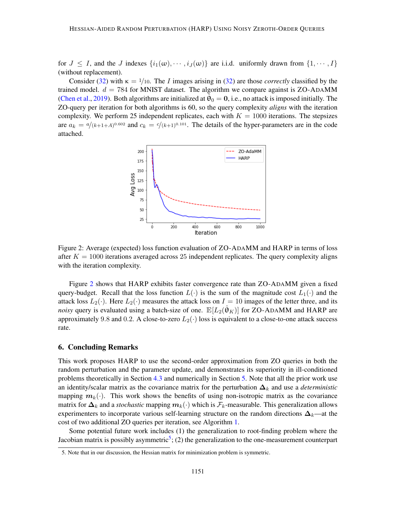for  $J \leq I$ , and the J indexes  $\{i_1(\omega), \dots, i_J(\omega)\}\$  are i.i.d. uniformly drawn from  $\{1, \dots, I\}$ (without replacement).

<span id="page-14-1"></span>Consider [\(32\)](#page-13-1) with  $\kappa = 1/10$ . The I images arising in (32) are those *correctly* classified by the trained model.  $d = 784$  for MNIST dataset. The algorithm we compare against is ZO-ADAMM [\(Chen et al.,](#page-15-10) [2019\)](#page-15-10). Both algorithms are initialized at  $\tilde{\hat{\theta}}_0 = 0$ , i.e., no attack is imposed initially. The ZO-query per iteration for both algorithms is 60, so the query complexity *aligns* with the iteration complexity. We perform 25 independent replicates, each with  $K = 1000$  iterations. The stepsizes are  $a_k = \frac{a}{(k+1+A)^{0.602}}$  and  $c_k = \frac{c}{(k+1)^{0.101}}$ . The details of the hyper-parameters are in the code attached.



Figure 2: Average (expected) loss function evaluation of ZO-ADAMM and HARP in terms of loss after  $K = 1000$  iterations averaged across 25 independent replicates. The query complexity aligns with the iteration complexity.

Figure [2](#page-14-1) shows that HARP exhibits faster convergence rate than ZO-ADAMM given a fixed query-budget. Recall that the loss function  $L(\cdot)$  is the sum of the magnitude cost  $L_1(\cdot)$  and the attack loss  $L_2(\cdot)$ . Here  $L_2(\cdot)$  measures the attack loss on  $I = 10$  images of the letter three, and its *noisy* query is evaluated using a batch-size of one.  $\mathbb{E}[L_2(\hat{\theta}_K)]$  for ZO-ADAMM and HARP are approximately 9.8 and 0.2. A close-to-zero  $L_2(\cdot)$  loss is equivalent to a close-to-one attack success rate.

## <span id="page-14-0"></span>6. Concluding Remarks

This work proposes HARP to use the second-order approximation from ZO queries in both the random perturbation and the parameter update, and demonstrates its superiority in ill-conditioned problems theoretically in Section [4.3](#page-12-3) and numerically in Section [5.](#page-12-0) Note that all the prior work use an identity/scalar matrix as the covariance matrix for the perturbation  $\Delta_k$  and use a *deterministic* mapping  $m_k(\cdot)$ . This work shows the benefits of using non-isotropic matrix as the covariance matrix for  $\Delta_k$  and a *stochastic* mapping  $m_k(\cdot)$  which is  $\mathcal{F}_k$ -measurable. This generalization allows experimenters to incorporate various self-learning structure on the random directions  $\Delta_k$ —at the cost of two additional ZO queries per iteration, see Algorithm [1.](#page-5-1)

Some potential future work includes (1) the generalization to root-finding problem where the Jacobian matrix is possibly asymmetric<sup>[5](#page-14-2)</sup>; (2) the generalization to the one-measurement counterpart

<span id="page-14-2"></span><sup>5.</sup> Note that in our discussion, the Hessian matrix for minimization problem is symmetric.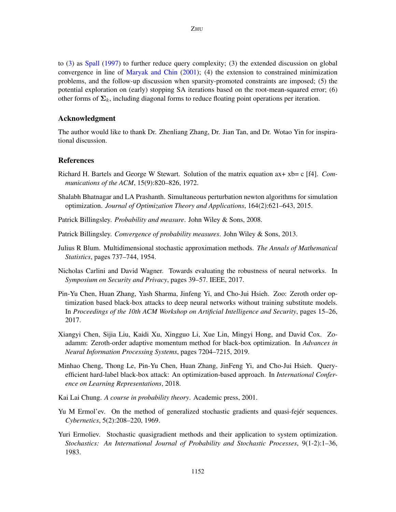to [\(3\)](#page-1-1) as [Spall](#page-17-12) [\(1997\)](#page-17-12) to further reduce query complexity; (3) the extended discussion on global convergence in line of [Maryak and Chin](#page-16-12) [\(2001\)](#page-16-12); (4) the extension to constrained minimization problems, and the follow-up discussion when sparsity-promoted constraints are imposed; (5) the potential exploration on (early) stopping SA iterations based on the root-mean-squared error; (6) other forms of  $\Sigma_k$ , including diagonal forms to reduce floating point operations per iteration.

# Acknowledgment

The author would like to thank Dr. Zhenliang Zhang, Dr. Jian Tan, and Dr. Wotao Yin for inspirational discussion.

## References

- <span id="page-15-7"></span>Richard H. Bartels and George W Stewart. Solution of the matrix equation ax+ xb= c [f4]. *Communications of the ACM*, 15(9):820–826, 1972.
- <span id="page-15-4"></span>Shalabh Bhatnagar and LA Prashanth. Simultaneous perturbation newton algorithms for simulation optimization. *Journal of Optimization Theory and Applications*, 164(2):621–643, 2015.
- <span id="page-15-5"></span>Patrick Billingsley. *Probability and measure*. John Wiley & Sons, 2008.
- <span id="page-15-6"></span>Patrick Billingsley. *Convergence of probability measures*. John Wiley & Sons, 2013.
- <span id="page-15-0"></span>Julius R Blum. Multidimensional stochastic approximation methods. *The Annals of Mathematical Statistics*, pages 737–744, 1954.
- <span id="page-15-2"></span>Nicholas Carlini and David Wagner. Towards evaluating the robustness of neural networks. In *Symposium on Security and Privacy*, pages 39–57. IEEE, 2017.
- <span id="page-15-8"></span>Pin-Yu Chen, Huan Zhang, Yash Sharma, Jinfeng Yi, and Cho-Jui Hsieh. Zoo: Zeroth order optimization based black-box attacks to deep neural networks without training substitute models. In *Proceedings of the 10th ACM Workshop on Artificial Intelligence and Security*, pages 15–26, 2017.
- <span id="page-15-10"></span>Xiangyi Chen, Sijia Liu, Kaidi Xu, Xingguo Li, Xue Lin, Mingyi Hong, and David Cox. Zoadamm: Zeroth-order adaptive momentum method for black-box optimization. In *Advances in Neural Information Processing Systems*, pages 7204–7215, 2019.
- <span id="page-15-9"></span>Minhao Cheng, Thong Le, Pin-Yu Chen, Huan Zhang, JinFeng Yi, and Cho-Jui Hsieh. Queryefficient hard-label black-box attack: An optimization-based approach. In *International Conference on Learning Representations*, 2018.
- <span id="page-15-11"></span>Kai Lai Chung. *A course in probability theory*. Academic press, 2001.
- <span id="page-15-1"></span>Yu M Ermol'ev. On the method of generalized stochastic gradients and quasi-fejer sequences. *Cybernetics*, 5(2):208–220, 1969.
- <span id="page-15-3"></span>Yuri Ermoliev. Stochastic quasigradient methods and their application to system optimization. *Stochastics: An International Journal of Probability and Stochastic Processes*, 9(1-2):1–36, 1983.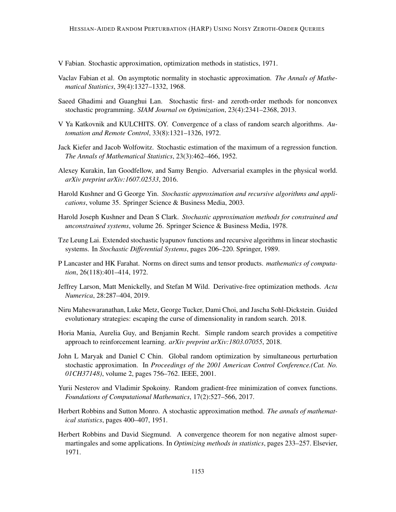<span id="page-16-6"></span>V Fabian. Stochastic approximation, optimization methods in statistics, 1971.

- <span id="page-16-16"></span>Vaclav Fabian et al. On asymptotic normality in stochastic approximation. *The Annals of Mathematical Statistics*, 39(4):1327–1332, 1968.
- <span id="page-16-9"></span>Saeed Ghadimi and Guanghui Lan. Stochastic first- and zeroth-order methods for nonconvex stochastic programming. *SIAM Journal on Optimization*, 23(4):2341–2368, 2013.
- <span id="page-16-2"></span>V Ya Katkovnik and KULCHITS. OY. Convergence of a class of random search algorithms. *Automation and Remote Control*, 33(8):1321–1326, 1972.
- <span id="page-16-1"></span>Jack Kiefer and Jacob Wolfowitz. Stochastic estimation of the maximum of a regression function. *The Annals of Mathematical Statistics*, 23(3):462–466, 1952.
- <span id="page-16-4"></span>Alexey Kurakin, Ian Goodfellow, and Samy Bengio. Adversarial examples in the physical world. *arXiv preprint arXiv:1607.02533*, 2016.
- <span id="page-16-10"></span>Harold Kushner and G George Yin. *Stochastic approximation and recursive algorithms and applications*, volume 35. Springer Science & Business Media, 2003.
- <span id="page-16-11"></span>Harold Joseph Kushner and Dean S Clark. *Stochastic approximation methods for constrained and unconstrained systems*, volume 26. Springer Science & Business Media, 1978.
- <span id="page-16-14"></span>Tze Leung Lai. Extended stochastic lyapunov functions and recursive algorithms in linear stochastic systems. In *Stochastic Differential Systems*, pages 206–220. Springer, 1989.
- <span id="page-16-13"></span>P Lancaster and HK Farahat. Norms on direct sums and tensor products. *mathematics of computation*, 26(118):401–414, 1972.
- <span id="page-16-0"></span>Jeffrey Larson, Matt Menickelly, and Stefan M Wild. Derivative-free optimization methods. *Acta Numerica*, 28:287–404, 2019.
- <span id="page-16-5"></span>Niru Maheswaranathan, Luke Metz, George Tucker, Dami Choi, and Jascha Sohl-Dickstein. Guided evolutionary strategies: escaping the curse of dimensionality in random search. 2018.
- <span id="page-16-3"></span>Horia Mania, Aurelia Guy, and Benjamin Recht. Simple random search provides a competitive approach to reinforcement learning. *arXiv preprint arXiv:1803.07055*, 2018.
- <span id="page-16-12"></span>John L Maryak and Daniel C Chin. Global random optimization by simultaneous perturbation stochastic approximation. In *Proceedings of the 2001 American Control Conference.(Cat. No. 01CH37148)*, volume 2, pages 756–762. IEEE, 2001.
- <span id="page-16-8"></span>Yurii Nesterov and Vladimir Spokoiny. Random gradient-free minimization of convex functions. *Foundations of Computational Mathematics*, 17(2):527–566, 2017.
- <span id="page-16-7"></span>Herbert Robbins and Sutton Monro. A stochastic approximation method. *The annals of mathematical statistics*, pages 400–407, 1951.
- <span id="page-16-15"></span>Herbert Robbins and David Siegmund. A convergence theorem for non negative almost supermartingales and some applications. In *Optimizing methods in statistics*, pages 233–257. Elsevier, 1971.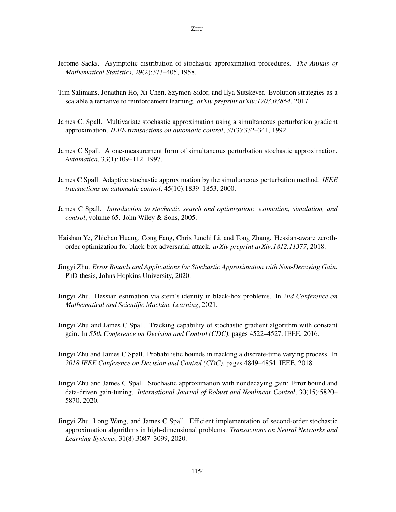- <span id="page-17-11"></span>Jerome Sacks. Asymptotic distribution of stochastic approximation procedures. *The Annals of Mathematical Statistics*, 29(2):373–405, 1958.
- <span id="page-17-2"></span>Tim Salimans, Jonathan Ho, Xi Chen, Szymon Sidor, and Ilya Sutskever. Evolution strategies as a scalable alternative to reinforcement learning. *arXiv preprint arXiv:1703.03864*, 2017.
- <span id="page-17-1"></span>James C. Spall. Multivariate stochastic approximation using a simultaneous perturbation gradient approximation. *IEEE transactions on automatic control*, 37(3):332–341, 1992.
- <span id="page-17-12"></span>James C Spall. A one-measurement form of simultaneous perturbation stochastic approximation. *Automatica*, 33(1):109–112, 1997.
- <span id="page-17-3"></span>James C Spall. Adaptive stochastic approximation by the simultaneous perturbation method. *IEEE transactions on automatic control*, 45(10):1839–1853, 2000.
- <span id="page-17-0"></span>James C Spall. *Introduction to stochastic search and optimization: estimation, simulation, and control*, volume 65. John Wiley & Sons, 2005.
- <span id="page-17-4"></span>Haishan Ye, Zhichao Huang, Cong Fang, Chris Junchi Li, and Tong Zhang. Hessian-aware zerothorder optimization for black-box adversarial attack. *arXiv preprint arXiv:1812.11377*, 2018.
- <span id="page-17-7"></span>Jingyi Zhu. *Error Bounds and Applications for Stochastic Approximation with Non-Decaying Gain*. PhD thesis, Johns Hopkins University, 2020.
- <span id="page-17-5"></span>Jingyi Zhu. Hessian estimation via stein's identity in black-box problems. In *2nd Conference on Mathematical and Scientific Machine Learning*, 2021.
- <span id="page-17-10"></span>Jingyi Zhu and James C Spall. Tracking capability of stochastic gradient algorithm with constant gain. In *55th Conference on Decision and Control (CDC)*, pages 4522–4527. IEEE, 2016.
- <span id="page-17-9"></span>Jingyi Zhu and James C Spall. Probabilistic bounds in tracking a discrete-time varying process. In *2018 IEEE Conference on Decision and Control (CDC)*, pages 4849–4854. IEEE, 2018.
- <span id="page-17-8"></span>Jingyi Zhu and James C Spall. Stochastic approximation with nondecaying gain: Error bound and data-driven gain-tuning. *International Journal of Robust and Nonlinear Control*, 30(15):5820– 5870, 2020.
- <span id="page-17-6"></span>Jingyi Zhu, Long Wang, and James C Spall. Efficient implementation of second-order stochastic approximation algorithms in high-dimensional problems. *Transactions on Neural Networks and Learning Systems*, 31(8):3087–3099, 2020.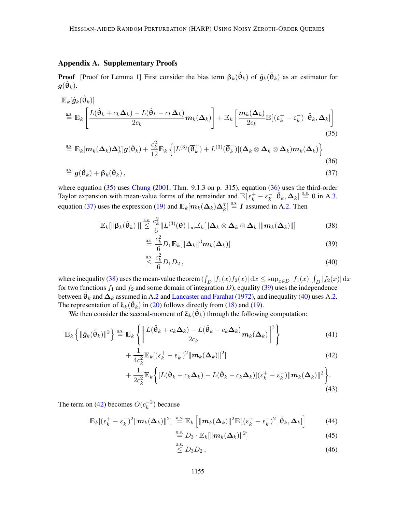# Appendix A. Supplementary Proofs

**Proof** [Proof for Lemma [1\]](#page-9-1) First consider the bias term  $\beta_k(\hat{\theta}_k)$  of  $\hat{g}_k(\hat{\theta}_k)$  as an estimator for  $\bm{g}(\hat{\bm{\theta}}_k)$ .

$$
\mathbb{E}_{k}[\hat{g}_{k}(\hat{\theta}_{k})]
$$
\n
$$
\stackrel{\text{a.s.}}{=} \mathbb{E}_{k} \left[ \frac{L(\hat{\theta}_{k} + c_{k} \Delta_{k}) - L(\hat{\theta}_{k} - c_{k} \Delta_{k})}{2c_{k}} m_{k}(\Delta_{k}) \right] + \mathbb{E}_{k} \left[ \frac{m_{k}(\Delta_{k})}{2c_{k}} \mathbb{E}[(\epsilon_{k}^{+} - \epsilon_{k}^{-}) | \hat{\theta}_{k}, \Delta_{k}] \right]
$$
\n(35)

$$
\stackrel{\text{a.s.}}{=} \mathbb{E}_k[m_k(\mathbf{\Delta}_k)\mathbf{\Delta}_k^T]g(\hat{\theta}_k) + \frac{c_k^2}{12}\mathbb{E}_k\left\{ [L^{(3)}(\overline{\theta}_k^+) + L^{(3)}(\overline{\theta}_k^-)](\mathbf{\Delta}_k \otimes \mathbf{\Delta}_k \otimes \mathbf{\Delta}_k)m_k(\mathbf{\Delta}_k) \right\} \tag{36}
$$

$$
\stackrel{\text{a.s.}}{=} \mathbf{g}(\hat{\boldsymbol{\theta}}_k) + \mathbf{\beta}_k(\hat{\boldsymbol{\theta}}_k) \,,\tag{37}
$$

where equation  $(35)$  uses [Chung](#page-15-11)  $(2001, Thm. 9.1.3$  $(2001, Thm. 9.1.3$  on p. 315), equation  $(36)$  uses the third-order Taylor expansion with mean-value forms of the remainder and  $\mathbb{E}[\varepsilon_k^+ - \varepsilon_k^-]$  $\mathbf{E}_{k}$   $\left| \hat{\boldsymbol{\theta}}_{k}, \boldsymbol{\Delta}_{k} \right| \stackrel{\text{a.s.}}{=} 0$  in A[.3,](#page-8-4) equation [\(37\)](#page-18-2) uses the expression [\(19\)](#page-9-4) and  $\mathbb{E}_k[m_k(\Delta_k)\Delta_k^T] \stackrel{\text{a.s.}}{=} I$  assumed in A[.2.](#page-8-1) Then

$$
\mathbb{E}_{k}[\|\boldsymbol{\beta}_{k}(\hat{\boldsymbol{\theta}}_{k})\|] \stackrel{\text{a.s.}}{\leq} \frac{c_{k}^{2}}{6} \|L^{(3)}(\boldsymbol{\theta})\|_{\infty} \mathbb{E}_{k}[\|\boldsymbol{\Delta}_{k}\otimes \boldsymbol{\Delta}_{k}\otimes \boldsymbol{\Delta}_{k}\| \| \boldsymbol{m}_{k}(\boldsymbol{\Delta}_{k})\|]
$$
(38)

<span id="page-18-3"></span><span id="page-18-2"></span><span id="page-18-1"></span><span id="page-18-0"></span>
$$
\stackrel{\text{a.s.}}{=} \frac{c_k^2}{6} D_1 \mathbb{E}_k[\|\Delta_k\|^3 m_k(\Delta_k)] \tag{39}
$$

<span id="page-18-5"></span><span id="page-18-4"></span>
$$
\stackrel{\text{a.s.}}{\leq} \frac{c_k^2}{6} D_1 D_2 \,,\tag{40}
$$

where inequality [\(38\)](#page-18-3) uses the mean-value theorem  $(\int_D |f_1(x)f_2(x)| dx \le \sup_{x \in D} |f_1(x)| \int_D |f_2(x)| dx$ for two functions  $f_1$  and  $f_2$  and some domain of integration D), equality [\(39\)](#page-18-4) uses the independence between  $\hat{\theta}_k$  and  $\Delta_k$  assumed in A[.2](#page-8-1) and [Lancaster and Farahat](#page-16-13) [\(1972\)](#page-16-13), and inequality [\(40\)](#page-18-5) uses A[.2.](#page-8-1) The representation of  $\xi_k(\hat{\theta}_k)$  in [\(20\)](#page-9-5) follows directly from [\(18\)](#page-9-0) and [\(19\)](#page-9-4).

We then consider the second-moment of  $\xi_k(\hat{\theta}_k)$  through the following computation:

$$
\mathbb{E}_{k}\left\{\|\hat{g}_{k}(\hat{\theta}_{k})\|^{2}\right\} \stackrel{\text{a.s.}}{=} \mathbb{E}_{k}\left\{\left\|\frac{L(\hat{\theta}_{k}+c_{k}\Delta_{k})-L(\hat{\theta}_{k}-c_{k}\Delta_{k})}{2c_{k}}m_{k}(\Delta_{k})\right\|^{2}\right\}
$$
(41)

$$
+\frac{1}{4c_k^2}\mathbb{E}_k[(\varepsilon_k^+-\varepsilon_k^-)^2\|\boldsymbol{m}_k(\boldsymbol{\Delta}_k)\|^2]
$$
\n(42)

$$
+\frac{1}{2c_k^2}\mathbb{E}_k\bigg\{\big[L(\hat{\theta}_k+c_k\Delta_k)-L(\hat{\theta}_k-c_k\Delta_k)\big](\varepsilon_k^+-\varepsilon_k^-)\|m_k(\Delta_k)\|^2\bigg\}.\tag{43}
$$

The term on [\(42\)](#page-18-6) becomes  $O(c_k^{-2})$  $k^{-2}$ ) because

$$
\mathbb{E}_k[(\varepsilon_k^+ - \varepsilon_k^-)^2 ||\mathbf{m}_k(\mathbf{\Delta}_k)||^2] \stackrel{\text{a.s.}}{=} \mathbb{E}_k [||\mathbf{m}_k(\mathbf{\Delta}_k)||^2 \mathbb{E}[(\varepsilon_k^+ - \varepsilon_k^-)^2 || \hat{\boldsymbol{\theta}}_k, \mathbf{\Delta}_k ]]
$$
(44)

<span id="page-18-11"></span><span id="page-18-10"></span><span id="page-18-6"></span>
$$
\stackrel{\text{a.s.}}{=} D_3 \cdot \mathbb{E}_k[\|\boldsymbol{m}_k(\boldsymbol{\Delta}_k)\|^2] \tag{45}
$$

<span id="page-18-9"></span><span id="page-18-8"></span><span id="page-18-7"></span>
$$
\leq D_3 D_2\,,\tag{46}
$$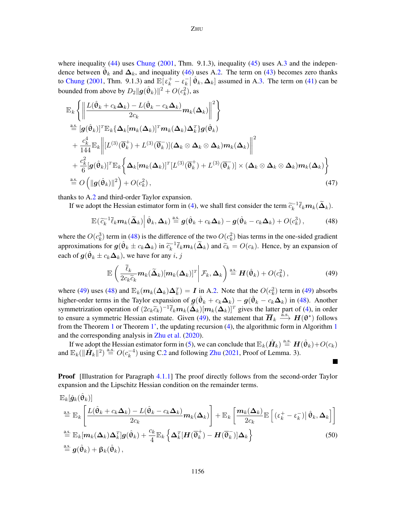where inequality  $(44)$  uses [Chung](#page-15-11)  $(2001, Thm. 9.1.3)$  $(2001, Thm. 9.1.3)$  $(2001, Thm. 9.1.3)$  $(2001, Thm. 9.1.3)$ , inequality  $(45)$  uses A.3 and the independence between  $\hat{\theta}_k$  and  $\Delta_k$ , and inequality [\(46\)](#page-18-9) uses A[.2.](#page-8-1) The term on [\(43\)](#page-18-10) becomes zero thanks to [Chung](#page-15-11) [\(2001,](#page-15-11) Thm. 9.1.3) and  $\mathbb{E}[\varepsilon_k^+ - \varepsilon_k^-]$  $\mathbf{E}_{k} \left[ \hat{\mathbf{\theta}}_{k}, \mathbf{\Delta}_{k} \right]$  assumed in A[.3.](#page-8-4) The term on [\(41\)](#page-18-11) can be bounded from above by  $D_2 ||g(\hat{\theta}_k)||^2 + O(c_k^2)$ , as

$$
\mathbb{E}_{k}\left\{\left\|\frac{L(\hat{\theta}_{k}+c_{k}\Delta_{k})-L(\hat{\theta}_{k}-c_{k}\Delta_{k})}{2c_{k}}\mathbf{m}_{k}(\Delta_{k})\right\|^{2}\right\}
$$
\n
$$
\stackrel{\text{a.s.}}{=} [g(\hat{\theta}_{k})]^{T}\mathbb{E}_{k}\{\Delta_{k}[\mathbf{m}_{k}(\Delta_{k})]^{T}\mathbf{m}_{k}(\Delta_{k})\Delta_{k}^{T}\}g(\hat{\theta}_{k})
$$
\n
$$
+\frac{c_{k}^{4}}{144}\mathbb{E}_{k}\left\|[L^{(3)}(\overline{\theta}_{k}^{+})+L^{(3)}(\overline{\theta}_{k}^{-})](\Delta_{k}\otimes\Delta_{k}\otimes\Delta_{k})\mathbf{m}_{k}(\Delta_{k})\right\|^{2}
$$
\n
$$
+\frac{c_{k}^{2}}{6}[g(\hat{\theta}_{k})]^{T}\mathbb{E}_{k}\left\{\Delta_{k}[\mathbf{m}_{k}(\Delta_{k})]^{T}[L^{(3)}(\overline{\theta}_{k}^{+})+L^{(3)}(\overline{\theta}_{k}^{-})]\times(\Delta_{k}\otimes\Delta_{k}\otimes\Delta_{k})\mathbf{m}_{k}(\Delta_{k})\right\}
$$
\n
$$
\stackrel{\text{a.s.}}{=}O\left(\|\mathbf{g}(\hat{\theta}_{k})\|^{2}\right)+O(c_{k}^{2}),\tag{47}
$$

thanks to A[.2](#page-8-1) and third-order Taylor expansion.

If we adopt the Hessian estimator form in [\(4\)](#page-4-0), we shall first consider the term  $\tilde{c}_k^{-1}$  $\bar{k}_k^{-1}\ell_k m_k(\boldsymbol\Delta_k).$ 

$$
\mathbb{E}(\widetilde{c}_k^{-1}\overline{\ell}_k \mathbf{m}_k(\widetilde{\mathbf{\Delta}}_k) \bigg| \widehat{\boldsymbol{\theta}}_k, \mathbf{\Delta}_k) \stackrel{\text{a.s.}}{=} \boldsymbol{g}(\widehat{\boldsymbol{\theta}}_k + c_k \mathbf{\Delta}_k) - \boldsymbol{g}(\widehat{\boldsymbol{\theta}}_k - c_k \mathbf{\Delta}_k) + O(c_k^3), \tag{48}
$$

where the  $O(c_k^3)$  term in [\(48\)](#page-19-0) is the difference of the two  $O(c_k^2)$  bias terms in the one-sided gradient approximations for  $g(\hat{\theta}_k \pm c_k \Delta_k)$  in  $\tilde{c}_k^{-1}$  $\tilde{k}_{k}^{-1}\ell_{k}m_{k}(\Delta_{k})$  and  $\tilde{\epsilon}_{k} = O(\epsilon_{k})$ . Hence, by an expansion of each of  $\boldsymbol{g}(\hat{\boldsymbol{\theta}}_k \pm c_k \boldsymbol{\Delta}_k)$ , we have for any  $i, j$ 

$$
\mathbb{E}\left(\frac{\bar{\ell}_k}{2c_k\widetilde{c}_k}\mathbf{m}_k(\widetilde{\Delta}_k)[\mathbf{m}_k(\mathbf{\Delta}_k)]^T\bigg|\mathcal{F}_k,\mathbf{\Delta}_k\right) \stackrel{\text{a.s.}}{=} \mathbf{H}(\hat{\theta}_k) + O(c_k^2),\tag{49}
$$

<span id="page-19-2"></span><span id="page-19-1"></span><span id="page-19-0"></span>**T** 

where [\(49\)](#page-19-1) uses [\(48\)](#page-19-0) and  $\mathbb{E}_k(m_k(\Delta_k)\Delta_k^T) = I$  in A[.2.](#page-8-1) Note that the  $O(c_k^2)$  term in (49) absorbs higher-order terms in the Taylor expansion of  $g(\hat{\theta}_k + c_k \Delta_k) - g(\hat{\theta}_k - c_k \Delta_k)$  in [\(48\)](#page-19-0). Another symmetrization operation of  $(2c_k\tilde{c}_k)^{-1}\bar{\ell}_k m_k(\tilde{\Delta}_k)[m_k(\Delta_k)]^T$  gives the latter part of [\(4\)](#page-4-0), in order<br>to opeure a symmetric Hossian ostimate. Given (40), the statement that  $\overline{H}$ , a.s.  $H(\mathbf{Q}^*)$  follows to ensure a symmetric Hessian estimate. Given [\(49\)](#page-19-1), the statement that  $\overline{H}_k \stackrel{\text{a.s.}}{\longrightarrow} H(\theta^*)$  follows from the Theorem [1](#page-5-1) or Theorem [1',](#page-10-2) the updating recursion  $(4)$ , the algorithmic form in Algorithm 1 and the corresponding analysis in [Zhu et al.](#page-17-6) [\(2020\)](#page-17-6).

If we adopt the Hessian estimator form in [\(5\)](#page-4-1), we can conclude that  $\mathbb{E}_k(\hat{H}_k) \stackrel{\text{a.s.}}{=} H(\hat{\theta}_k) + O(c_k)$ and  $\mathbb{E}_k(\|\hat{H}_k\|^2) \stackrel{\text{a.s.}}{=} O(c_k^{-4})$  $k<sup>-4</sup>$ ) using C[.2](#page-8-1) and following [Zhu](#page-17-5) [\(2021,](#page-17-5) Proof of Lemma. 3).

**Proof** [Illustration for Paragraph [4.1.1\]](#page-9-6) The proof directly follows from the second-order Taylor expansion and the Lipschitz Hessian condition on the remainder terms.

$$
\mathbb{E}_{k}[\hat{g}_{k}(\hat{\theta}_{k})]
$$
\n
$$
\stackrel{\text{a.s.}}{=} \mathbb{E}_{k} \left[ \frac{L(\hat{\theta}_{k} + c_{k} \Delta_{k}) - L(\hat{\theta}_{k} - c_{k} \Delta_{k})}{2c_{k}} m_{k}(\Delta_{k}) \right] + \mathbb{E}_{k} \left[ \frac{m_{k}(\Delta_{k})}{2c_{k}} \mathbb{E} \left[ \left( \epsilon_{k}^{+} - \epsilon_{k}^{-} \right) \right] \hat{\theta}_{k}, \Delta_{k} \right]
$$
\n
$$
\stackrel{\text{a.s.}}{=} \mathbb{E}_{k} [m_{k}(\Delta_{k}) \Delta_{k}^{T}] g(\hat{\theta}_{k}) + \frac{c_{k}}{4} \mathbb{E}_{k} \left\{ \Delta_{k}^{T} [H(\overline{\theta}_{k}^{+}) - H(\overline{\theta}_{k}^{-})] \Delta_{k} \right\}
$$
\n
$$
\stackrel{\text{a.s.}}{=} g(\hat{\theta}_{k}) + \beta_{k}(\hat{\theta}_{k}), \qquad (50)
$$

1156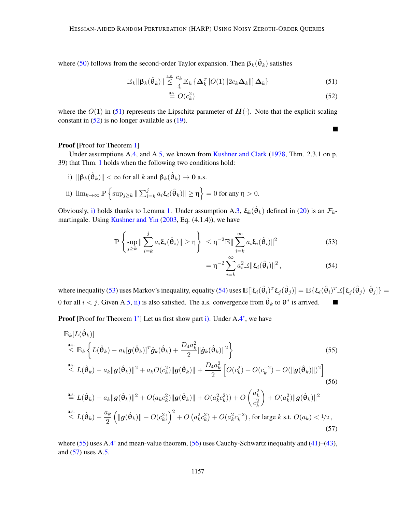where [\(50\)](#page-19-2) follows from the second-order Taylor expansion. Then  $\beta_k(\hat{\theta}_k)$  satisfies

$$
\mathbb{E}_{k} \|\boldsymbol{\beta}_{k}(\hat{\boldsymbol{\theta}}_{k})\| \leq \frac{c_{k}}{4} \mathbb{E}_{k} \left\{\boldsymbol{\Delta}_{k}^{T}\left[O(1)\right]2c_{k}\boldsymbol{\Delta}_{k}\right\} \qquad (51)
$$

$$
\stackrel{\text{a.s.}}{=} O(c_k^2) \tag{52}
$$

<span id="page-20-7"></span><span id="page-20-6"></span><span id="page-20-4"></span><span id="page-20-3"></span><span id="page-20-1"></span><span id="page-20-0"></span> $\blacksquare$ 

where the  $O(1)$  in [\(51\)](#page-20-0) represents the Lipschitz parameter of  $H(\cdot)$ . Note that the explicit scaling constant in  $(52)$  is no longer available as  $(19)$ .

## Proof [Proof for Theorem [1\]](#page-10-1)

Under assumptions A[.4,](#page-9-2) and A[.5,](#page-10-0) we known from [Kushner and Clark](#page-16-11) [\(1978,](#page-16-11) Thm. 2.3.1 on p. 39) that Thm. [1](#page-10-1) holds when the following two conditions hold:

<span id="page-20-5"></span><span id="page-20-2"></span>i)  $\|\boldsymbol{\beta}_k(\hat{\boldsymbol{\theta}}_k)\| < \infty$  for all  $k$  and  $\boldsymbol{\beta}_k(\hat{\boldsymbol{\theta}}_k) \to \boldsymbol{0}$  a.s. ii)  $\lim_{k\to\infty} \mathbb{P} \left\{ \sup_{j\geq k} \|\sum_{i=k}^j a_i \xi_i(\hat{\theta}_k)\| \geq \eta \right\} = 0$  for any  $\eta > 0$ .

Obviously, [i\)](#page-20-2) holds thanks to Lemma [1.](#page-9-1) Under assumption A[.3,](#page-8-4)  $\xi_k(\hat{\theta}_k)$  defined in [\(20\)](#page-9-5) is an  $\mathcal{F}_k$ -martingale. Using [Kushner and Yin](#page-16-10) [\(2003,](#page-16-10) Eq. (4.1.4)), we have

$$
\mathbb{P}\left\{\sup_{j\geq k} \|\sum_{i=k}^{j} a_i \xi_i(\hat{\theta}_i)\| \geq \eta\right\} \leq \eta^{-2} \mathbb{E} \|\sum_{i=k}^{\infty} a_i \xi_i(\hat{\theta}_i)\|^2
$$
\n
$$
= \eta^{-2} \sum_{i=k}^{\infty} a_i^2 \mathbb{E} \|\xi_i(\hat{\theta}_i)\|^2,
$$
\n(54)

where inequality [\(53\)](#page-20-3) uses Markov's inequality, equality [\(54\)](#page-20-4) uses  $\mathbb{E}[\mathbf{E}_i(\hat{\theta}_i)^T \mathbf{E}_j(\hat{\theta}_j)] = \mathbb{E}\{\xi_i(\hat{\theta}_i)^T \mathbb{E}[\xi_j(\hat{\theta}_j)]\}$  $[\hat{\theta}_j]\} =$ 0 for all  $i < j$ . Given A[.5,](#page-10-0) [ii\)](#page-20-5) is also satisfied. The a.s. convergence from  $\hat{\theta}_k$  to  $\theta^*$  is arrived.

Proof [Proof for Theorem [1'\]](#page-10-2) Let us first show part [i\).](#page-10-7) Under A[.4',](#page-9-3) we have

$$
\mathbb{E}_{k}[L(\hat{\theta}_{k})]
$$
\n
$$
\leq \mathbb{E}_{k} \left\{ L(\hat{\theta}_{k}) - a_{k} [g(\hat{\theta}_{k})]^{T} \hat{g}_{k}(\hat{\theta}_{k}) + \frac{D_{4} a_{k}^{2}}{2} ||\hat{g}_{k}(\hat{\theta}_{k})||^{2} \right\}
$$
\n
$$
\leq L(\hat{\theta}_{k}) - a_{k} ||g(\hat{\theta}_{k})||^{2} + a_{k} O(c_{k}^{2}) ||g(\hat{\theta}_{k})|| + \frac{D_{4} a_{k}^{2}}{2} \left[ O(c_{k}^{2}) + O(c_{k}^{-2}) + O(||g(\hat{\theta}_{k})||)^{2} \right]
$$
\n
$$
\leq L(\hat{\theta}_{k}) - a_{k} ||g(\hat{\theta}_{k})||^{2} + O(a_{k} c_{k}^{2}) ||g(\hat{\theta}_{k})|| + O(a_{k}^{2} c_{k}^{2}) + O\left(\frac{a_{k}^{2}}{c_{k}^{2}}\right) + O(a_{k}^{2}) ||g(\hat{\theta}_{k})||^{2}
$$
\n
$$
\leq L(\hat{\theta}_{k}) - \frac{a_{k}}{2} \left( ||g(\hat{\theta}_{k})|| - O(c_{k}^{2}) \right)^{2} + O\left(a_{k}^{2} c_{k}^{2}\right) + O(a_{k}^{2} c_{k}^{-2}), \text{ for large } k \text{ s.t. } O(a_{k}) < 1/2,
$$
\n
$$
\tag{57}
$$

<span id="page-20-8"></span>where  $(55)$  uses A[.4'](#page-9-3) and mean-value theorem,  $(56)$  uses Cauchy-Schwartz inequality and  $(41)$ – $(43)$ , and [\(57\)](#page-20-8) uses A[.5.](#page-10-0)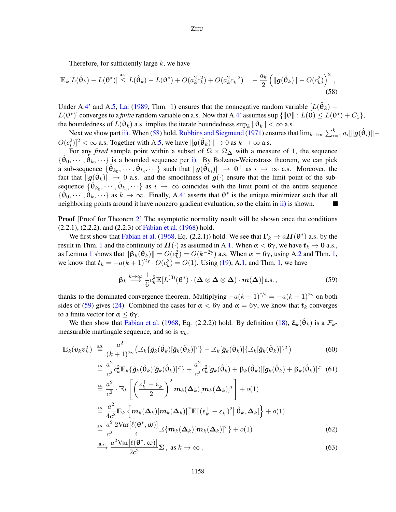<span id="page-21-0"></span>Therefore, for sufficiently large  $k$ , we have

$$
\mathbb{E}_{k}[L(\hat{\theta}_{k}) - L(\theta^{*})] \stackrel{\text{a.s.}}{\leq} L(\hat{\theta}_{k}) - L(\theta^{*}) + O(a_{k}^{2}c_{k}^{2}) + O(a_{k}^{2}c_{k}^{-2}) - \frac{a_{k}}{2} \left( \|g(\hat{\theta}_{k})\| - O(c_{k}^{2}) \right)^{2},
$$
\n(58)

Under A[.4'](#page-9-3) and A[.5,](#page-10-0) [Lai](#page-16-14) [\(1989,](#page-16-14) Thm. 1) ensures that the nonnegative random variable  $[L(\hat{\theta}_k) L(\theta^*)$  converges to a *finite* random variable on a.s. Now that A[.4'](#page-9-3) assumes sup  $\{\|\theta\| : L(\theta) \le L(\theta^*) + C_1\},$ the boundedness of  $L(\hat{\theta}_k)$  a.s. implies the iterate boundedness  $\sup_k \|\hat{\theta}_k\| < \infty$  a.s.

Next we show part [ii\).](#page-10-8) When [\(58\)](#page-21-0) hold, [Robbins and Siegmund](#page-16-15) [\(1971\)](#page-16-15) ensures that  $\lim_{k\to\infty}\sum_{i=1}^ka_i[\|g(\hat{\theta}_i)\|-\|g(\hat{\theta}_i)\|]$  $O(c_i^2)^2 < \infty$  a.s. Together with A[.5,](#page-10-0) we have  $\|\boldsymbol{g}(\hat{\theta}_k)\| \to 0$  as  $k \to \infty$  a.s.

For any *fixed* sample point within a subset of  $\Omega \times \Omega_{\Delta}$  with a measure of 1, the sequence  $\{\hat{\theta}_0, \dots, \hat{\theta}_k, \dots\}$  is a bounded sequence per [i\).](#page-10-7) By Bolzano-Weierstrass theorem, we can pick a sub-sequence  $\{\hat{\theta}_{k_0}, \cdots, \hat{\theta}_{k_i}, \cdots\}$  such that  $\|\hat{g}(\hat{\theta}_{k_i})\| \to 0^+$  as  $i \to \infty$  a.s. Moreover, the fact that  $\|\mathbf{g}(\hat{\theta}_k)\| \to 0$  a.s. and the smoothness of  $\mathbf{g}(\cdot)$  ensure that the limit point of the subsequence  $\{\hat{\theta}_{k_0}, \cdots, \hat{\theta}_{k_i}, \cdots\}$  as  $i \to \infty$  coincides with the limit point of the entire sequence  $\{\hat{\theta}_0, \cdots, \hat{\theta}_k, \cdots\}$  as  $k \to \infty$ . Finally, A[.4'](#page-9-3) asserts that  $\theta^*$  is the unique minimizer such that all neighboring points around it have nonzero gradient evaluation, so the claim in [ii\)](#page-10-8) is shown.

**Proof** [Proof for Theorem [2\]](#page-10-3) The asymptotic normality result will be shown once the conditions (2.2.1), (2.2.2), and (2.2.3) of [Fabian et al.](#page-16-16) [\(1968\)](#page-16-16) hold.

We first show that [Fabian et al.](#page-16-16) [\(1968,](#page-16-16) Eq. (2.2.1)) hold. We see that  $\Gamma_k \to aH(\theta^*)$  a.s. by the result in Thm. [1](#page-10-1) and the continuity of  $H(\cdot)$  as assumed in A[.1.](#page-8-3) When  $\alpha < 6\gamma$ , we have  $t_k \to 0$  a.s., as Lemma [1](#page-9-1) shows that  $\|\beta_k(\hat{\theta}_k)\| = O(c_k^2) = O(k^{-2\gamma})$  a.s. When  $\alpha = 6\gamma$ , using A[.2](#page-8-1) and Thm. [1,](#page-10-1) we know that  $t_k = -a(k+1)^{2\gamma} \cdot O(c_k^2) = O(1)$ . Using [\(19\)](#page-9-4), A[.1,](#page-8-3) and Thm. [1,](#page-10-1) we have

<span id="page-21-3"></span><span id="page-21-2"></span><span id="page-21-1"></span>
$$
\beta_k \stackrel{k \to \infty}{\longrightarrow} \frac{1}{6} c_k^2 \mathbb{E}[L^{(3)}(\theta^*) \cdot (\Delta \otimes \Delta \otimes \Delta) \cdot m(\Delta)] \text{ a.s.},
$$
\n(59)

thanks to the dominated convergence theorem. Multiplying  $-a(k+1)^{\tau/2} = -a(k+1)^{2\gamma}$  on both sides of [\(59\)](#page-21-1) gives [\(24\)](#page-11-8). Combined the cases for  $\alpha < 6\gamma$  and  $\alpha = 6\gamma$ , we know that  $t_k$  converges to a finite vector for  $\alpha \leq 6\gamma$ .

We then show that [Fabian et al.](#page-16-16) [\(1968,](#page-16-16) Eq. (2.2.2)) hold. By definition [\(18\)](#page-9-0),  $\xi_k(\hat{\theta}_k)$  is a  $\mathcal{F}_k$ measurable martingale sequence, and so is  $v_k$ .

$$
\mathbb{E}_k(\boldsymbol{v}_k \boldsymbol{v}_k^T) \stackrel{\text{a.s.}}{=} \frac{a^2}{(k+1)^{2\gamma}} \big( \mathbb{E}_k \{ \hat{\boldsymbol{g}}_k (\hat{\boldsymbol{\theta}}_k) [\hat{\boldsymbol{g}}_k (\hat{\boldsymbol{\theta}}_k)]^T \} - \mathbb{E}_k [\hat{\boldsymbol{g}}_k (\hat{\boldsymbol{\theta}}_k)] \{ \mathbb{E}_k [\hat{\boldsymbol{g}}_k (\hat{\boldsymbol{\theta}}_k)] \}^T \big)
$$
(60)

$$
\stackrel{\text{a.s.}}{=} \frac{a^2}{c^2} c_k^2 \mathbb{E}_k \{ \hat{g}_k(\hat{\theta}_k) [\hat{g}_k(\hat{\theta}_k)]^T \} + \frac{a^2}{c^2} c_k^2 [g_k(\hat{\theta}_k) + \beta_k(\hat{\theta}_k)][g_k(\hat{\theta}_k) + \beta_k(\hat{\theta}_k)]^T \tag{61}
$$
\n
$$
\stackrel{\text{a.s.}}{=} \frac{a^2}{c^2} \cdot \mathbb{E}_k \left[ \left( \frac{\varepsilon_k^+ - \varepsilon_k^-}{2} \right)^2 m_k(\Delta_k) [m_k(\Delta_k)]^T \right] + o(1)
$$
\n
$$
\stackrel{\text{a.s.}}{=} \frac{a^2}{4c^2} \mathbb{E}_k \left\{ m_k(\Delta_k) [m_k(\Delta_k)]^T \mathbb{E} [(\varepsilon_k^+ - \varepsilon_k^-)^2 | \hat{\theta}_k, \Delta_k] \right\} + o(1)
$$
\n
$$
\stackrel{\text{a.s.}}{=} \frac{a^2}{c^2} \frac{2 \text{Var} [\ell(\theta^*, \omega)]}{4} \mathbb{E} \{ m_k(\Delta_k) [m_k(\Delta_k)]^T \} + o(1) \tag{62}
$$

<span id="page-21-5"></span><span id="page-21-4"></span>
$$
\xrightarrow{a. \mathbf{s}} \frac{a^2 \text{Var}[\ell(\mathbf{\Theta}^*, \mathbf{\omega})]}{2c^2} \mathbf{\Sigma} \,, \text{ as } k \to \infty \,, \tag{63}
$$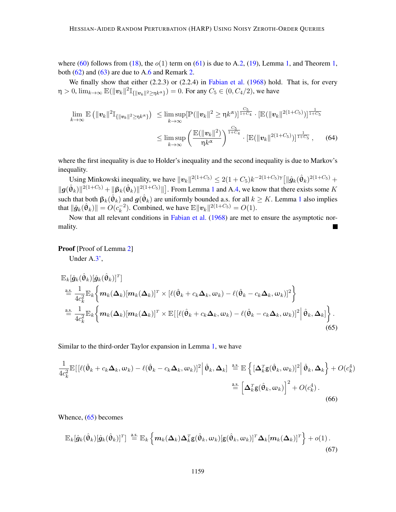where [\(60\)](#page-21-2) follows from [\(18\)](#page-9-0), the  $o(1)$  term on [\(61\)](#page-21-3) is due to A[.2,](#page-8-1) [\(19\)](#page-9-4), Lemma [1,](#page-10-1) and Theorem 1, both  $(62)$  and  $(63)$  are due to A[.6](#page-10-4) and Remark [2.](#page-10-5)

We finally show that either  $(2.2.3)$  or  $(2.2.4)$  in [Fabian et al.](#page-16-16)  $(1968)$  hold. That is, for every  $\eta > 0$ ,  $\lim_{k \to \infty} \mathbb{E}(\|\mathbf{v}_k\|^2 \mathbb{I}_{\{\|\mathbf{v}_k\|^2 \geq \eta k^{\alpha}\}}) = 0$ . For any  $C_5 \in (0, C_4/2)$ , we have

$$
\lim_{k \to \infty} \mathbb{E} \left( \| \mathbf{v}_k \|^2 \mathbb{I}_{\{\| \mathbf{v}_k \|^2 \geq \eta k^{\alpha} \}} \right) \leq \limsup_{k \to \infty} [\mathbb{P} (\| \mathbf{v}_k \|^2 \geq \eta k^{\alpha} )]^{\frac{C_5}{1+C_4}} \cdot [\mathbb{E} (\| \mathbf{v}_k \|^2 (1+C_5))]^{\frac{1}{1+C_5}} \\
\leq \limsup_{k \to \infty} \left( \frac{\mathbb{E} (\| \mathbf{v}_k \|^2)}{\eta k^{\alpha}} \right)^{\frac{C_5}{1+C_4}} \cdot [\mathbb{E} (\| \mathbf{v}_k \|^2 (1+C_5))]^{\frac{1}{1+C_5}}, \quad (64)
$$

where the first inequality is due to Holder's inequality and the second inequality is due to Markov's inequality.

Using Minkowski inequality, we have  $||v_k||^{2(1+C_5)} \leq 2(1+C_5)k^{-2(1+C_5)\gamma} \left[||\hat{g}_k(\hat{\theta}_k)|^{2(1+C_5)} + \right]$  $\|\mathbf{g}(\hat{\theta}_k)\|^{2(1+C_5)} + \|\mathbf{\beta}_k(\hat{\theta}_k)\|^{2(1+C_5)}\|$  $\|\mathbf{g}(\hat{\theta}_k)\|^{2(1+C_5)} + \|\mathbf{\beta}_k(\hat{\theta}_k)\|^{2(1+C_5)}\|$  $\|\mathbf{g}(\hat{\theta}_k)\|^{2(1+C_5)} + \|\mathbf{\beta}_k(\hat{\theta}_k)\|^{2(1+C_5)}\|$ . From Lemma 1 and A[.4,](#page-9-2) we know that there exists some K such that both  $\beta_k(\hat{\theta}_k)$  and  $g(\hat{\theta}_k)$  are uniformly bounded a.s. for all  $k \geq K$ . Lemma [1](#page-9-1) also implies that  $\|\hat{\boldsymbol{g}}_k(\hat{\theta}_k)\| = O(c_k^{-2})$  $\binom{-2}{k}$ . Combined, we have  $\mathbb{E} ||\mathbf{v}_k||^{2(1+C_5)} = O(1)$ .

Now that all relevant conditions in [Fabian et al.](#page-16-16) [\(1968\)](#page-16-16) are met to ensure the asymptotic normality.

Proof [Proof of Lemma [2\]](#page-11-2)

<span id="page-22-0"></span>Under A[.3',](#page-11-3)

$$
\mathbb{E}_{k}[\hat{g}_{k}(\hat{\theta}_{k})[\hat{g}_{k}(\hat{\theta}_{k})]^{T}]
$$
\n
$$
\stackrel{\text{a.s.}}{=} \frac{1}{4c_{k}^{2}}\mathbb{E}_{k}\bigg\{m_{k}(\Delta_{k})[m_{k}(\Delta_{k})]^{T} \times [\ell(\hat{\theta}_{k} + c_{k}\Delta_{k}, \omega_{k}) - \ell(\hat{\theta}_{k} - c_{k}\Delta_{k}, \omega_{k})]^{2}\bigg\}
$$
\n
$$
\stackrel{\text{a.s.}}{=} \frac{1}{4c_{k}^{2}}\mathbb{E}_{k}\bigg\{m_{k}(\Delta_{k})[m_{k}(\Delta_{k})]^{T} \times \mathbb{E}[(\ell(\hat{\theta}_{k} + c_{k}\Delta_{k}, \omega_{k}) - \ell(\hat{\theta}_{k} - c_{k}\Delta_{k}, \omega_{k})]^{2}|\hat{\theta}_{k}, \Delta_{k}]\bigg\}.
$$
\n(65)

Similar to the third-order Taylor expansion in Lemma [1,](#page-9-1) we have

$$
\frac{1}{4c_k^2} \mathbb{E} \big[ \left[ \ell(\hat{\theta}_k + c_k \Delta_k, \omega_k) - \ell(\hat{\theta}_k - c_k \Delta_k, \omega_k) \right]^2 \big| \hat{\theta}_k, \Delta_k \big] \stackrel{\text{a.s.}}{=} \mathbb{E} \left\{ \left[ \Delta_k^T \mathbf{g}(\hat{\theta}_k, \omega_k) \right]^2 \big| \hat{\theta}_k, \Delta_k \right\} + O(c_k^4)
$$
\n
$$
\stackrel{\text{a.s.}}{=} \left[ \Delta_k^T \mathbf{g}(\hat{\theta}_k, \omega_k) \right]^2 + O(c_k^4) \tag{66}
$$

Whence, [\(65\)](#page-22-0) becomes

<span id="page-22-1"></span>
$$
\mathbb{E}_k[\hat{\boldsymbol{g}}_k(\hat{\boldsymbol{\theta}}_k)[\hat{\boldsymbol{g}}_k(\hat{\boldsymbol{\theta}}_k)]^T] \stackrel{\text{a.s.}}{=} \mathbb{E}_k\left\{\boldsymbol{m}_k(\boldsymbol{\Delta}_k)\boldsymbol{\Delta}_k^T\mathbf{g}(\hat{\boldsymbol{\theta}}_k,\boldsymbol{\omega}_k)[\mathbf{g}(\hat{\boldsymbol{\theta}}_k,\boldsymbol{\omega}_k)]^T\boldsymbol{\Delta}_k[\boldsymbol{m}_k(\boldsymbol{\Delta}_k)]^T\right\} + o(1).
$$
\n(67)